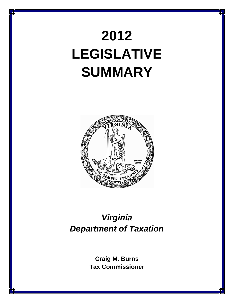# **2012 LEGISLATIVE SUMMARY**



## *Virginia Department of Taxation*

**Craig M. Burns Tax Commissioner**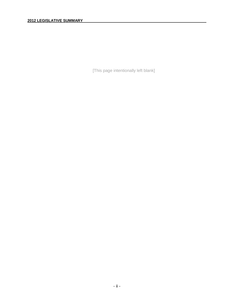[This page intentionally left blank]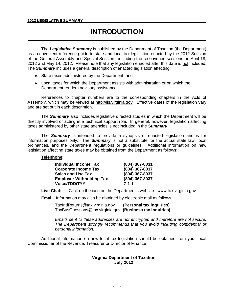## **INTRODUCTION**

The *Legislative Summary* is published by the Department of Taxation (the Department) as a convenient reference guide to state and local tax legislation enacted by the 2012 Session of the General Assembly and Special Session I including the reconvened sessions on April 18, 2012 and May 14, 2012. Please note that any legislation enacted after this date is not included. The *Summary* includes a general description of enacted legislation affecting:

- ◆ State taxes administered by the Department, and
- Local taxes for which the Department assists with administration or on which the Department renders advisory assistance.

References to chapter numbers are to the corresponding chapters in the Acts of Assembly, which may be viewed at http://lis.virginia.gov. Effective dates of the legislation vary and are set out in each description.

The *Summary* also includes legislative directed studies in which the Department will be directly involved or acting in a technical support role. In general, however, legislation affecting taxes administered by other state agencies is not included in the *Summary*.

The *Summary* is intended to provide a synopsis of enacted legislation and is for information purposes only. The *Summary* is not a substitute for the actual state law, local ordinances, and the Department regulations or guidelines. Additional information on new legislation affecting state taxes may be obtained from the Department as follows:

#### **Telephone**:

| <b>Individual Income Tax</b>    | (804) 367-8031 |
|---------------------------------|----------------|
| <b>Corporate Income Tax</b>     | (804) 367-8037 |
| <b>Sales and Use Tax</b>        | (804) 367-8037 |
| <b>Employer Withholding Tax</b> | (804) 367-8037 |
| Voice/TDD/TYY                   | $7 - 1 - 1$    |

**Live Chat:** Click on the icon on the Department's website: www.tax.virginia.gov.

**Email**: Information may also be obtained by electronic mail as follows:

TaxIndReturns@tax.virginia.gov **(Personal tax inquiries)** TaxBusQuestions@tax.virginia.gov **(Business tax inquiries)**

*Emails sent to these addresses are not encrypted and therefore are not secure. The Department strongly recommends that you avoid including confidential or personal information.*

Additional information on new local tax legislation should be obtained from your local Commissioner of the Revenue, Treasurer or Director of Finance

#### **Virginia Department of Taxation July 2012**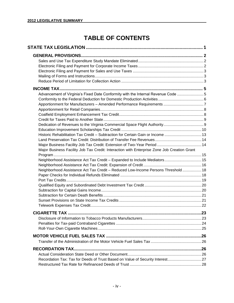## **TABLE OF CONTENTS**

| Advancement of Virginia's Fixed Date Conformity with the Internal Revenue Code 5            |  |
|---------------------------------------------------------------------------------------------|--|
|                                                                                             |  |
|                                                                                             |  |
|                                                                                             |  |
|                                                                                             |  |
|                                                                                             |  |
|                                                                                             |  |
|                                                                                             |  |
| Historic Rehabilitation Tax Credit – Subtraction for Certain Gain or Income 13              |  |
|                                                                                             |  |
|                                                                                             |  |
| Major Business Facility Job Tax Credit: Interaction with Enterprise Zone Job Creation Grant |  |
|                                                                                             |  |
| Neighborhood Assistance Act Tax Credit - Expanded to Include Mediators 15                   |  |
|                                                                                             |  |
| Neighborhood Assistance Act Tax Credit - Reduced Low-Income Persons Threshold  18           |  |
|                                                                                             |  |
|                                                                                             |  |
|                                                                                             |  |
|                                                                                             |  |
|                                                                                             |  |
|                                                                                             |  |
|                                                                                             |  |
|                                                                                             |  |
|                                                                                             |  |
|                                                                                             |  |
|                                                                                             |  |
|                                                                                             |  |
|                                                                                             |  |
|                                                                                             |  |
|                                                                                             |  |
| Recordation Tax: Tax for Deeds of Trust Based on Value of Security Interest27               |  |
|                                                                                             |  |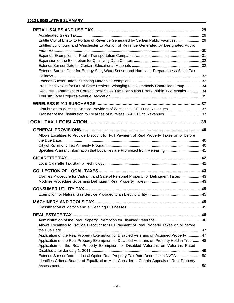| Entitle City of Bristol to Portion of Revenue Generated by Certain Public Facilities29       |  |
|----------------------------------------------------------------------------------------------|--|
| Entitles Lynchburg and Winchester to Portion of Revenue Generated by Designated Public       |  |
|                                                                                              |  |
|                                                                                              |  |
|                                                                                              |  |
|                                                                                              |  |
| Extends Sunset Date for Energy Star, WaterSense, and Hurricane Preparedness Sales Tax        |  |
|                                                                                              |  |
| Presumes Nexus for Out-of-State Dealers Belonging to a Commonly Controlled Group 34          |  |
| Requires Department to Correct Local Sales Tax Distribution Errors Within Two Months34       |  |
|                                                                                              |  |
|                                                                                              |  |
| Distribution to Wireless Service Providers of Wireless E-911 Fund Revenues  37               |  |
| Transfer of the Distribution to Localities of Wireless E-911 Fund Revenues37                 |  |
|                                                                                              |  |
|                                                                                              |  |
|                                                                                              |  |
| Allows Localities to Provide Discount for Full Payment of Real Property Taxes on or before   |  |
|                                                                                              |  |
|                                                                                              |  |
| Specifies Warrant Information that Localities are Prohibited from Releasing  41              |  |
|                                                                                              |  |
|                                                                                              |  |
|                                                                                              |  |
| Clarifies Procedure for Distraint and Sale of Personal Property for Delinquent Taxes 43      |  |
|                                                                                              |  |
|                                                                                              |  |
|                                                                                              |  |
|                                                                                              |  |
|                                                                                              |  |
|                                                                                              |  |
|                                                                                              |  |
|                                                                                              |  |
| Allows Localities to Provide Discount for Full Payment of Real Property Taxes on or before   |  |
|                                                                                              |  |
| Application of the Real Property Exemption for Disabled Veterans on Acquired Property  47    |  |
| Application of the Real Property Exemption for Disabled Veterans on Property Held in Trust48 |  |
| Application of the Real Property Exemption for Disabled Veterans on Veterans Rated           |  |
|                                                                                              |  |
| Extends Sunset Date for Local Option Real Property Tax Rate Decrease in NVTA 50              |  |
| Identifies Criteria Boards of Equalization Must Consider in Certain Appeals of Real Property |  |
|                                                                                              |  |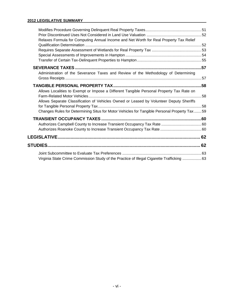#### **2012 LEGISLATIVE SUMMARY**

| Relaxes Formula for Computing Annual Income and Net Worth for Real Property Tax Relief      |  |
|---------------------------------------------------------------------------------------------|--|
|                                                                                             |  |
|                                                                                             |  |
|                                                                                             |  |
|                                                                                             |  |
|                                                                                             |  |
| Administration of the Severance Taxes and Review of the Methodology of Determining          |  |
|                                                                                             |  |
|                                                                                             |  |
| Allows Localities to Exempt or Impose a Different Tangible Personal Property Tax Rate on    |  |
| Allows Separate Classification of Vehicles Owned or Leased by Volunteer Deputy Sheriffs     |  |
|                                                                                             |  |
| Changes Rules for Determining Situs for Motor Vehicles for Tangible Personal Property Tax59 |  |
|                                                                                             |  |
|                                                                                             |  |
|                                                                                             |  |
|                                                                                             |  |
|                                                                                             |  |
|                                                                                             |  |
|                                                                                             |  |
| Virginia State Crime Commission Study of the Practice of Illegal Cigarette Trafficking  63  |  |
|                                                                                             |  |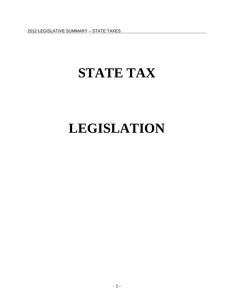## <span id="page-6-0"></span>**STATE TAX**

## **LEGISLATION**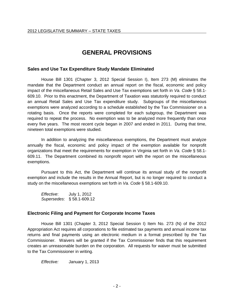## **GENERAL PROVISIONS**

#### <span id="page-7-1"></span><span id="page-7-0"></span>**Sales and Use Tax Expenditure Study Mandate Eliminated**

House Bill 1301 (Chapter 3, 2012 Special Session I), Item 273 (M) eliminates the mandate that the Department conduct an annual report on the fiscal, economic and policy impact of the miscellaneous Retail Sales and Use Tax exemptions set forth in *Va. Code* § 58.1- 609.10. Prior to this enactment, the Department of Taxation was statutorily required to conduct an annual Retail Sales and Use Tax expenditure study. Subgroups of the miscellaneous exemptions were analyzed according to a schedule established by the Tax Commissioner on a rotating basis. Once the reports were completed for each subgroup, the Department was required to repeat the process. No exemption was to be analyzed more frequently than once every five years. The most recent cycle began in 2007 and ended in 2011. During that time, nineteen total exemptions were studied.

In addition to analyzing the miscellaneous exemptions, the Department must analyze annually the fiscal, economic and policy impact of the exemption available for nonprofit organizations that meet the requirements for exemption in Virginia set forth in *Va. Code* § 58.1- 609.11. The Department combined its nonprofit report with the report on the miscellaneous exemptions.

Pursuant to this Act, the Department will continue its annual study of the nonprofit exemption and include the results in the Annual Report, but is no longer required to conduct a study on the miscellaneous exemptions set forth in *Va. Code* § 58.1-609.10.

*Effective*: July 1, 2012 *Supersedes*: § 58.1-609.12

#### <span id="page-7-2"></span>**Electronic Filing and Payment for Corporate Income Taxes**

House Bill 1301 (Chapter 3, 2012 Special Session I) Item No. 273 (N) of the 2012 Appropriation Act requires all corporations to file estimated tax payments and annual income tax returns and final payments using an electronic medium in a format prescribed by the Tax Commissioner. Waivers will be granted if the Tax Commissioner finds that this requirement creates an unreasonable burden on the corporation. All requests for waiver must be submitted to the Tax Commissioner in writing.

*Effective:* January 1, 2013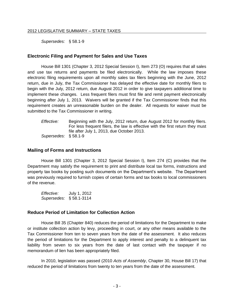*Supersedes:* § 58.1-9

#### <span id="page-8-0"></span>**Electronic Filing and Payment for Sales and Use Taxes**

House Bill 1301 (Chapter 3, 2012 Special Session I), Item 273 (O) requires that all sales and use tax returns and payments be filed electronically. While the law imposes these electronic filing requirements upon all monthly sales tax filers beginning with the June, 2012 return, due in July, the Tax Commissioner has delayed the effective date for monthly filers to begin with the July, 2012 return, due August 2012 in order to give taxpayers additional time to implement these changes. Less frequent filers must first file and remit payment electronically beginning after July 1, 2013. Waivers will be granted if the Tax Commissioner finds that this requirement creates an unreasonable burden on the dealer. All requests for waiver must be submitted to the Tax Commissioner in writing.

*Effective:* Beginning with the July, 2012 return, due August 2012 for monthly filers. For less frequent filers, the law is effective with the first return they must file after July 1, 2013, due October 2013. *Supersedes:* § 58.1-9

#### <span id="page-8-1"></span>**Mailing of Forms and Instructions**

House Bill 1301 (Chapter 3, 2012 Special Session I), Item 274 (C) provides that the Department may satisfy the requirement to print and distribute local tax forms, instructions and property tax books by posting such documents on the Department's website. The Department was previously required to furnish copies of certain forms and tax books to local commissioners of the revenue.

| <i>Effective:</i> | July 1, 2012 |
|-------------------|--------------|
| Supersedes:       | § 58.1-3114  |

#### <span id="page-8-2"></span>**Reduce Period of Limitation for Collection Action**

House Bill 35 (Chapter 840) reduces the period of limitations for the Department to make or institute collection action by levy, proceeding in court, or any other means available to the Tax Commissioner from ten to seven years from the date of the assessment. It also reduces the period of limitations for the Department to apply interest and penalty to a delinquent tax liability from seven to six years from the date of last contact with the taxpayer if no memorandum of lien has been appropriately filed.

In 2010, legislation was passed (2010 *Acts of Assembly*, Chapter 30, House Bill 17) that reduced the period of limitations from twenty to ten years from the date of the assessment.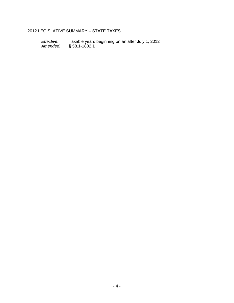*Effective:* Taxable years beginning on an after July 1, 2012 *Amended:* § 58.1-1802.1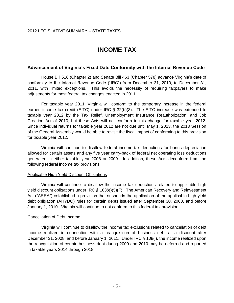## **INCOME TAX**

#### <span id="page-10-1"></span><span id="page-10-0"></span>**Advancement of Virginia's Fixed Date Conformity with the Internal Revenue Code**

House Bill 516 (Chapter 2) and Senate Bill 463 (Chapter 578) advance Virginia's date of conformity to the Internal Revenue Code ("IRC") from December 31, 2010, to December 31, 2011, with limited exceptions. This avoids the necessity of requiring taxpayers to make adjustments for most federal tax changes enacted in 2011.

For taxable year 2011, Virginia will conform to the temporary increase in the federal earned income tax credit (EITC) under IRC § 32(b)(3). The EITC increase was extended to taxable year 2012 by the Tax Relief, Unemployment Insurance Reauthorization, and Job Creation Act of 2010, but these Acts will not conform to this change for taxable year 2012. Since individual returns for taxable year 2012 are not due until May 1, 2013, the 2013 Session of the General Assembly would be able to revisit the fiscal impact of conforming to this provision for taxable year 2012.

Virginia will continue to disallow federal income tax deductions for bonus depreciation allowed for certain assets and any five year carry-back of federal net operating loss deductions generated in either taxable year 2008 or 2009. In addition, these Acts deconform from the following federal income tax provisions:

#### Applicable High Yield Discount Obligations

Virginia will continue to disallow the income tax deductions related to applicable high yield discount obligations under IRC § 163(e)(5)(F). The American Recovery and Reinvestment Act ("ARRA") established a provision that suspends the application of the applicable high yield debt obligation (AHYDO) rules for certain debts issued after September 30, 2008, and before January 1, 2010. Virginia will continue to not conform to this federal tax provision.

#### Cancellation of Debt Income

Virginia will continue to disallow the income tax exclusions related to cancellation of debt income realized in connection with a reacquisition of business debt at a discount after December 31, 2008, and before January 1, 2011. Under IRC § 108(i), the income realized upon the reacquisition of certain business debt during 2009 and 2010 may be deferred and reported in taxable years 2014 through 2018.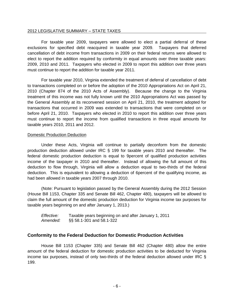For taxable year 2009, taxpayers were allowed to elect a partial deferral of these exclusions for specified debt reacquired in taxable year 2009. Taxpayers that deferred cancellation of debt income from transactions in 2009 on their federal returns were allowed to elect to report the addition required by conformity in equal amounts over three taxable years: 2009, 2010 and 2011. Taxpayers who elected in 2009 to report this addition over three years must continue to report the addition for taxable year 2011.

For taxable year 2010, Virginia extended the treatment of deferral of cancellation of debt to transactions completed on or before the adoption of the 2010 Appropriations Act on April 21, 2010 (Chapter 874 of the 2010 Acts of Assembly). Because the change to the Virginia treatment of this income was not fully known until the 2010 Appropriations Act was passed by the General Assembly at its reconvened session on April 21, 2010, the treatment adopted for transactions that occurred in 2009 was extended to transactions that were completed on or before April 21, 2010. Taxpayers who elected in 2010 to report this addition over three years must continue to report the income from qualified transactions in three equal amounts for taxable years 2010, 2011 and 2012.

#### Domestic Production Deduction

Under these Acts, Virginia will continue to partially deconform from the domestic production deduction allowed under IRC § 199 for taxable years 2010 and thereafter. The federal domestic production deduction is equal to 9percent of qualified production activities income of the taxpayer in 2010 and thereafter. Instead of allowing the full amount of this deduction to flow through, Virginia will allow a deduction equal to two-thirds of the federal deduction. This is equivalent to allowing a deduction of 6percent of the qualifying income, as had been allowed in taxable years 2007 through 2010.

(Note: Pursuant to legislation passed by the General Assembly during the 2012 Session (House Bill 1153, Chapter 335 and Senate Bill 462, Chapter 480), taxpayers will be allowed to claim the full amount of the domestic production deduction for Virginia income tax purposes for taxable years beginning on and after January 1, 2013.)

*Effective:* Taxable years beginning on and after January 1, 2011 *Amended:* §§ 58.1-301 and 58.1-322

#### <span id="page-11-0"></span>**Conformity to the Federal Deduction for Domestic Production Activities**

House Bill 1153 (Chapter 335) and Senate Bill 462 (Chapter 480) allow the entire amount of the federal deduction for domestic production activities to be deducted for Virginia income tax purposes, instead of only two-thirds of the federal deduction allowed under IRC § 199.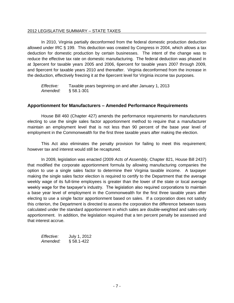In 2010, Virginia partially deconformed from the federal domestic production deduction allowed under IRC § 199. This deduction was created by Congress in 2004, which allows a tax deduction for domestic production by certain businesses. The intent of the change was to reduce the effective tax rate on domestic manufacturing. The federal deduction was phased in at 3percent for taxable years 2005 and 2006, 6percent for taxable years 2007 through 2009, and 9percent for taxable years 2010 and thereafter. Virginia deconformed from the increase in the deduction, effectively freezing it at the 6percent level for Virginia income tax purposes.

*Effective:* Taxable years beginning on and after January 1, 2013 *Amended:* § 58.1-301

#### <span id="page-12-0"></span>**Apportionment for Manufacturers – Amended Performance Requirements**

House Bill 460 (Chapter 427) amends the performance requirements for manufacturers electing to use the single sales factor apportionment method to require that a manufacturer maintain an employment level that is not less than 90 percent of the base year level of employment in the Commonwealth for the first three taxable years after making the election.

This Act also eliminates the penalty provision for failing to meet this requirement; however tax and interest would still be recaptured.

In 2009, legislation was enacted (2009 *Acts of Assembly*, Chapter 821, House Bill 2437) that modified the corporate apportionment formula by allowing manufacturing companies the option to use a single sales factor to determine their Virginia taxable income. A taxpayer making the single sales factor election is required to certify to the Department that the average weekly wage of its full-time employees is greater than the lower of the state or local average weekly wage for the taxpayer's industry. The legislation also required corporations to maintain a base year level of employment in the Commonwealth for the first three taxable years after electing to use a single factor apportionment based on sales. If a corporation does not satisfy this criterion, the Department is directed to assess the corporation the difference between taxes calculated under the standard apportionment in which sales are double-weighted and sales-only apportionment. In addition, the legislation required that a ten percent penalty be assessed and that interest accrue.

*Effective:* July 1, 2012 *Amended:* § 58.1-422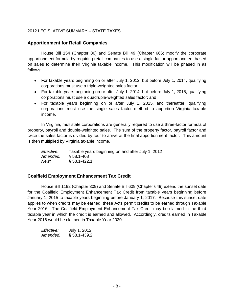#### <span id="page-13-0"></span>**Apportionment for Retail Companies**

House Bill 154 (Chapter 86) and Senate Bill 49 (Chapter 666) modify the corporate apportionment formula by requiring retail companies to use a single factor apportionment based on sales to determine their Virginia taxable income. This modification will be phased in as follows:

- For taxable years beginning on or after July 1, 2012, but before July 1, 2014, qualifying corporations must use a triple-weighted sales factor;
- For taxable years beginning on or after July 1, 2014, but before July 1, 2015, qualifying corporations must use a quadruple-weighted sales factor; and
- For taxable years beginning on or after July 1, 2015, and thereafter, qualifying corporations must use the single sales factor method to apportion Virginia taxable income.

In Virginia, multistate corporations are generally required to use a three-factor formula of property, payroll and double-weighted sales. The sum of the property factor, payroll factor and twice the sales factor is divided by four to arrive at the final apportionment factor. This amount is then multiplied by Virginia taxable income.

*Effective:* Taxable years beginning on and after July 1, 2012 *Amended:* § 58.1-408 *New:* § 58.1-422.1

#### <span id="page-13-1"></span>**Coalfield Employment Enhancement Tax Credit**

House Bill 1192 (Chapter 309) and Senate Bill 609 (Chapter 649) extend the sunset date for the Coalfield Employment Enhancement Tax Credit from taxable years beginning before January 1, 2015 to taxable years beginning before January 1, 2017. Because this sunset date applies to when credits may be earned, these Acts permit credits to be earned through Taxable Year 2016. The Coalfield Employment Enhancement Tax Credit may be claimed in the third taxable year in which the credit is earned and allowed. Accordingly, credits earned in Taxable Year 2016 would be claimed in Taxable Year 2020.

| <i>Effective:</i> | July 1, 2012 |
|-------------------|--------------|
| Amended:          | § 58.1-439.2 |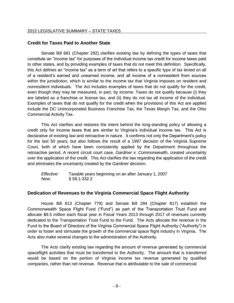#### <span id="page-14-0"></span>**Credit for Taxes Paid to Another State**

Senate Bill 681 (Chapter 292) clarifies existing law by defining the types of taxes that constitute an "income tax" for purposes of the individual income tax credit for income taxes paid to other states, and by providing examples of taxes that do not meet this definition. Specifically, this Act defines an "income tax" as a term of art that refers to a specific type of tax levied on all of a resident's earned and unearned income, and all income of a nonresident from sources within the jurisdiction, which is similar to the income tax that Virginia imposes on resident and nonresident individuals. The Act includes examples of taxes that do not qualify for the credit, even though they may be measured, in part, by income. Taxes do not qualify because (i) they are labeled as a franchise or license tax, and (ii) they do not tax all income of the individual. Examples of taxes that do not qualify for the credit when the provisions of this Act are applied include the DC Unincorporated Business Franchise Tax, the Texas Margin Tax, and the Ohio Commercial Activity Tax.

This Act clarifies and restores the intent behind the long-standing policy of allowing a credit only for income taxes that are similar to Virginia's individual income tax. This Act is declarative of existing law and retroactive in nature. It confirms not only the Department's policy for the last 50 years, but also follows the result of a 1997 decision of the Virginia Supreme Court, both of which have been consistently applied by the Department throughout the retroactive period. A recent circuit court case, *Gardiner v. Commonwealth*, created uncertainty over the application of the credit. This Act clarifies the law regarding the application of the credit and eliminates the uncertainty created by the *Gardiner* decision.

*Effective:* Taxable years beginning on an after January 1, 2007 *New:* § 58.1-332.2

#### <span id="page-14-1"></span>**Dedication of Revenues to the Virginia Commercial Space Flight Authority**

House Bill 813 (Chapter 779) and Senate Bill 284 (Chapter 817) establish the Commonwealth Space Flight Fund ("Fund") as part of the Transportation Trust Fund and allocate \$9.5 million each fiscal year in Fiscal Years 2013 through 2017 of revenues currently dedicated to the Transportation Trust Fund to the Fund. The Acts allocate the revenue in the Fund to the Board of Directors of the Virginia Commercial Space Flight Authority ("Authority") in order to foster and stimulate the growth of the commercial space flight industry in Virginia. The Acts also make several changes to the administration of the Authority.

The Acts clarify existing law regarding the amount of revenue generated by commercial spaceflight activities that must be transferred to the Authority. The amount that is transferred would be based on the portion of Virginia income tax revenue generated by qualified companies, rather than net revenue. Revenue that is attributable to the sale of commercial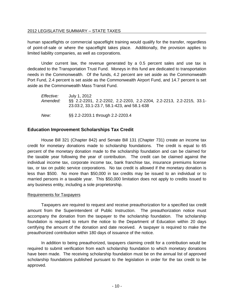human spaceflights or commercial spaceflight training would qualify for the transfer, regardless of point-of-sale or where the spaceflight takes place. Additionally, the provision applies to limited liability companies, as well as corporations.

Under current law, the revenue generated by a 0.5 percent sales and use tax is dedicated to the Transportation Trust Fund. Moneys in this fund are dedicated to transportation needs in the Commonwealth. Of the funds, 4.2 percent are set aside as the Commonwealth Port Fund, 2.4 percent is set aside as the Commonwealth Airport Fund, and 14.7 percent is set aside as the Commonwealth Mass Transit Fund.

| <i>Effective:</i><br>Amended: | July 1, 2012<br>§§ 2.2-2201, 2.2-2202, 2.2-2203, 2.2-2204, 2.2-2213, 2.2-2215, 33.1-<br>23.03:2, 33.1-23.7, 58.1-423, and 58.1-638 |
|-------------------------------|------------------------------------------------------------------------------------------------------------------------------------|
| New:                          | §§ 2.2-2203.1 through 2.2-2203.4                                                                                                   |

#### <span id="page-15-0"></span>**Education Improvement Scholarships Tax Credit**

House Bill 321 (Chapter 842) and Senate Bill 131 (Chapter 731) create an income tax credit for monetary donations made to scholarship foundations. The credit is equal to 65 percent of the monetary donation made to the scholarship foundation and can be claimed for the taxable year following the year of contribution. The credit can be claimed against the individual income tax, corporate income tax, bank franchise tax, insurance premiums license tax, or tax on public service corporations. No tax credit is allowed if the monetary donation is less than \$500. No more than \$50,000 in tax credits may be issued to an individual or to married persons in a taxable year. This \$50,000 limitation does not apply to credits issued to any business entity, including a sole proprietorship.

#### Requirements for Taxpayers

Taxpayers are required to request and receive preauthorization for a specified tax credit amount from the Superintendent of Public Instruction. The preauthorization notice must accompany the donation from the taxpayer to the scholarship foundation. The scholarship foundation is required to return the notice to the Department of Education within 20 days certifying the amount of the donation and date received. A taxpayer is required to make the preauthorized contribution within 180 days of issuance of the notice.

In addition to being preauthorized, taxpayers claiming credit for a contribution would be required to submit verification from each scholarship foundation to which monetary donations have been made. The receiving scholarship foundation must be on the annual list of approved scholarship foundations published pursuant to the legislation in order for the tax credit to be approved.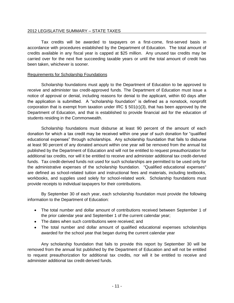Tax credits will be awarded to taxpayers on a first-come, first-served basis in accordance with procedures established by the Department of Education. The total amount of credits available in any fiscal year is capped at \$25 million. Any unused tax credits may be carried over for the next five succeeding taxable years or until the total amount of credit has been taken, whichever is sooner.

#### Requirements for Scholarship Foundations

Scholarship foundations must apply to the Department of Education to be approved to receive and administer tax credit-approved funds. The Department of Education must issue a notice of approval or denial, including reasons for denial to the applicant, within 60 days after the application is submitted. A "scholarship foundation" is defined as a nonstock, nonprofit corporation that is exempt from taxation under IRC  $\S$  501(c)(3), that has been approved by the Department of Education, and that is established to provide financial aid for the education of students residing in the Commonwealth.

Scholarship foundations must disburse at least 90 percent of the amount of each donation for which a tax credit may be received within one year of such donation for "qualified educational expenses" through scholarships. Any scholarship foundation that fails to disburse at least 90 percent of any donated amount within one year will be removed from the annual list published by the Department of Education and will not be entitled to request preauthorization for additional tax credits, nor will it be entitled to receive and administer additional tax credit-derived funds. Tax credit-derived funds not used for such scholarships are permitted to be used only for the administrative expenses of the scholarship foundation. "Qualified educational expenses" are defined as school-related tuition and instructional fees and materials, including textbooks, workbooks, and supplies used solely for school-related work. Scholarship foundations must provide receipts to individual taxpayers for their contributions.

By September 30 of each year, each scholarship foundation must provide the following information to the Department of Education:

- The total number and dollar amount of contributions received between September 1 of the prior calendar year and September 1 of the current calendar year;
- The dates when such contributions were received; and
- The total number and dollar amount of qualified educational expenses scholarships awarded for the school year that began during the current calendar year

Any scholarship foundation that fails to provide this report by September 30 will be removed from the annual list published by the Department of Education and will not be entitled to request preauthorization for additional tax credits, nor will it be entitled to receive and administer additional tax credit-derived funds.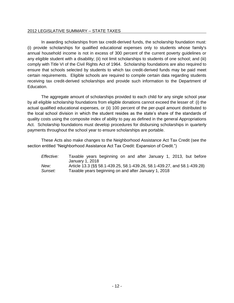In awarding scholarships from tax credit-derived funds, the scholarship foundation must: (i) provide scholarships for qualified educational expenses only to students whose family's annual household income is not in excess of 300 percent of the current poverty guidelines or any eligible student with a disability; (ii) not limit scholarships to students of one school; and (iii) comply with Title VI of the Civil Rights Act of 1964. Scholarship foundations are also required to ensure that schools selected by students to which tax credit-derived funds may be paid meet certain requirements. Eligible schools are required to compile certain data regarding students receiving tax credit-derived scholarships and provide such information to the Department of Education.

The aggregate amount of scholarships provided to each child for any single school year by all eligible scholarship foundations from eligible donations cannot exceed the lesser of: (i) the actual qualified educational expenses, or (ii) 100 percent of the per-pupil amount distributed to the local school division in which the student resides as the state's share of the standards of quality costs using the composite index of ability to pay as defined in the general Appropriations Act. Scholarship foundations must develop procedures for disbursing scholarships in quarterly payments throughout the school year to ensure scholarships are portable.

These Acts also make changes to the Neighborhood Assistance Act Tax Credit (see the section entitled "Neighborhood Assistance Act Tax Credit: Expansion of Credit.")

| Effective: | Taxable years beginning on and after January 1, 2013, but before         |
|------------|--------------------------------------------------------------------------|
|            | January 1, 2018                                                          |
| New:       | Article 13.3 (§§ 58.1-439.25, 58.1-439.26, 58.1-439.27, and 58.1-439.28) |
| Sunset:    | Taxable years beginning on and after January 1, 2018                     |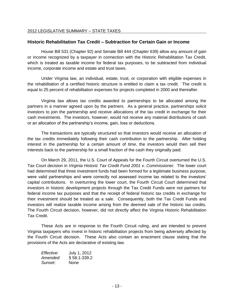#### <span id="page-18-0"></span>**Historic Rehabilitation Tax Credit – Subtraction for Certain Gain or Income**

House Bill 531 (Chapter 92) and Senate Bill 444 (Chapter 639) allow any amount of gain or income recognized by a taxpayer in connection with the Historic Rehabilitation Tax Credit, which is treated as taxable income for federal tax purposes, to be subtracted from individual income, corporate income and estate and trust taxes.

Under Virginia law, an individual, estate, trust, or corporation with eligible expenses in the rehabilitation of a certified historic structure is entitled to claim a tax credit. The credit is equal to 25 percent of rehabilitation expenses for projects completed in 2000 and thereafter.

Virginia law allows tax credits awarded to partnerships to be allocated among the partners in a manner agreed upon by the partners. As a general practice, partnerships solicit investors to join the partnership and receive allocations of the tax credit in exchange for their cash investments. The investors, however, would not receive any material distributions of cash or an allocation of the partnership's income, gain, loss or deductions.

The transactions are typically structured so that investors would receive an allocation of the tax credits immediately following their cash contribution to the partnership. After holding interest in the partnership for a certain amount of time, the investors would then sell their interests back to the partnership for a small fraction of the cash they originally paid.

On March 29, 2011, the U.S. Court of Appeals for the Fourth Circuit overturned the U.S. Tax Court decision in *Virginia Historic Tax Credit Fund 2001 v. Commissioner.* The lower court had determined that three investment funds had been formed for a legitimate business purpose, were valid partnerships and were correctly not assessed income tax related to the investors' capital contributions. In overturning the lower court, the Fourth Circuit Court determined that investors in historic development projects through the Tax Credit Funds were not partners for federal income tax purposes and that the receipt of federal historic tax credits in exchange for their investment should be treated as a sale. Consequently, both the Tax Credit Funds and investors will realize taxable income arising from the deemed sale of the historic tax credits. The Fourth Circuit decision, however, did not directly affect the Virginia Historic Rehabilitation Tax Credit.

These Acts are in response to the Fourth Circuit ruling, and are intended to prevent Virginia taxpayers who invest in historic rehabilitation projects from being adversely affected by the Fourth Circuit decision. These Acts also contain an enactment clause stating that the provisions of the Acts are declarative of existing law.

| <i>Effective:</i> | July 1, 2012     |
|-------------------|------------------|
| Amended:          | $§ 58.1 - 339.2$ |
| Sunset:           | None             |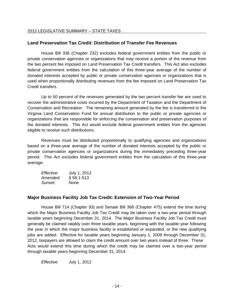#### <span id="page-19-0"></span>**Land Preservation Tax Credit: Distribution of Transfer Fee Revenues**

House Bill 336 (Chapter 232) excludes federal government entities from the public or private conservation agencies or organizations that may receive a portion of the revenue from the two percent fee imposed on Land Preservation Tax Credit transfers. This Act also excludes federal government entities from the calculation of this three-year average of the number of donated interests accepted by public or private conservation agencies or organizations that is used when proportionally distributing revenues from the fee imposed on Land Preservation Tax Credit transfers.

Up to 50 percent of the revenues generated by the two percent transfer fee are used to recover the administrative costs incurred by the Department of Taxation and the Department of Conservation and Recreation. The remaining amount generated by the fee is transferred to the Virginia Land Conservation Fund for annual distribution to the public or private agencies or organizations that are responsible for enforcing the conservation and preservation purposes of the donated interests. This Act would exclude federal government entities from the agencies eligible to receive such distributions.

Revenues must be distributed proportionally to qualifying agencies and organizations based on a three-year average of the number of donated interests accepted by the public or private conservation agencies or organizations during the immediately preceding three-year period. This Act excludes federal government entities from the calculation of this three-year average.

| Effective: | July 1, 2012   |
|------------|----------------|
| Amended:   | $§ 58.1 - 513$ |
| Sunset:    | None           |

#### <span id="page-19-1"></span>**Major Business Facility Job Tax Credit: Extension of Two-Year Period**

House Bill 714 (Chapter 93) and Senate Bill 368 (Chapter 475) extend the time during which the Major Business Facility Job Tax Credit may be taken over a two-year period through taxable years beginning December 31, 2014. The Major Business Facility Job Tax Credit must generally be claimed ratably over three taxable years, beginning with the taxable year following the year in which the major business facility is established or expanded, or the new qualifying jobs are added. Effective for taxable years beginning January 1, 2009 through December 31, 2012, taxpayers are allowed to claim the credit amount over two years instead of three. These Acts would extend this time during which the credit may be claimed over a two-year period through taxable years beginning December 31, 2014.

*Effective:* July 1, 2012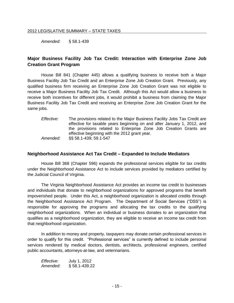*Amended:* § 58.1-439

#### <span id="page-20-0"></span>**Major Business Facility Job Tax Credit: Interaction with Enterprise Zone Job Creation Grant Program**

House Bill 841 (Chapter 445) allows a qualifying business to receive both a Major Business Facility Job Tax Credit and an Enterprise Zone Job Creation Grant. Previously, any qualified business firm receiving an Enterprise Zone Job Creation Grant was not eligible to receive a Major Business Facility Job Tax Credit. Although this Act would allow a business to receive both incentives for different jobs, it would prohibit a business from claiming the Major Business Facility Job Tax Credit and receiving an Enterprise Zone Job Creation Grant for the same jobs.

*Effective:* The provisions related to the Major Business Facility Jobs Tax Credit are effective for taxable years beginning on and after January 1, 2012, and the provisions related to Enterprise Zone Job Creation Grants are effective beginning with the 2012 grant year. *Amended:* §§ 58.1-439; 59.1-547

#### <span id="page-20-1"></span>**Neighborhood Assistance Act Tax Credit – Expanded to Include Mediators**

House Bill 368 (Chapter 596) expands the professional services eligible for tax credits under the Neighborhood Assistance Act to include services provided by mediators certified by the Judicial Council of Virginia.

The Virginia Neighborhood Assistance Act provides an income tax credit to businesses and individuals that donate to neighborhood organizations for approved programs that benefit impoverished people. Under this Act, a neighborhood organization is allocated credits through the Neighborhood Assistance Act Program. The Department of Social Services ("DSS") is responsible for approving the programs and allocating the tax credits to the qualifying neighborhood organizations. When an individual or business donates to an organization that qualifies as a neighborhood organization, they are eligible to receive an income tax credit from that neighborhood organization.

In addition to money and property, taxpayers may donate certain professional services in order to qualify for this credit. "Professional services" is currently defined to include personal services rendered by medical doctors, dentists, architects, professional engineers, certified public accountants, attorneys-at-law, and veterinarians.

*Effective:* July 1, 2012 *Amended:* § 58.1-439.22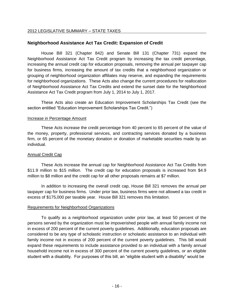#### <span id="page-21-0"></span>**Neighborhood Assistance Act Tax Credit: Expansion of Credit**

House Bill 321 (Chapter 842) and Senate Bill 131 (Chapter 731) expand the Neighborhood Assistance Act Tax Credit program by increasing the tax credit percentage, increasing the annual credit cap for education proposals, removing the annual per taxpayer cap for business firms, increasing the amount of tax credits that a neighborhood organization or grouping of neighborhood organization affiliates may reserve, and expanding the requirements for neighborhood organizations. These Acts also change the current procedures for reallocation of Neighborhood Assistance Act Tax Credits and extend the sunset date for the Neighborhood Assistance Act Tax Credit program from July 1, 2014 to July 1, 2017.

These Acts also create an Education Improvement Scholarships Tax Credit (see the section entitled "Education Improvement Scholarships Tax Credit.")

#### Increase in Percentage Amount

These Acts increase the credit percentage from 40 percent to 65 percent of the value of the money, property, professional services, and contracting services donated by a business firm, or 65 percent of the monetary donation or donation of marketable securities made by an individual.

#### Annual Credit Cap

These Acts increase the annual cap for Neighborhood Assistance Act Tax Credits from \$11.9 million to \$15 million. The credit cap for education proposals is increased from \$4.9 million to \$8 million and the credit cap for all other proposals remains at \$7 million.

In addition to increasing the overall credit cap, House Bill 321 removes the annual per taxpayer cap for business firms. Under prior law, business firms were not allowed a tax credit in excess of \$175,000 per taxable year. House Bill 321 removes this limitation.

#### Requirements for Neighborhood Organizations

To qualify as a neighborhood organization under prior law, at least 50 percent of the persons served by the organization must be impoverished people with annual family income not in excess of 200 percent of the current poverty guidelines. Additionally, education proposals are considered to be any type of scholastic instruction or scholastic assistance to an individual with family income not in excess of 200 percent of the current poverty guidelines. This bill would expand these requirements to include assistance provided to an individual with a family annual household income not in excess of 300 percent of the current poverty guidelines, or an eligible student with a disability. For purposes of this bill, an "eligible student with a disability" would be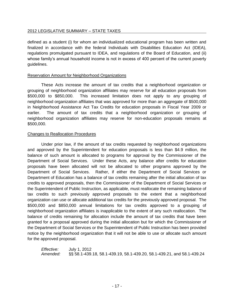defined as a student (i) for whom an individualized educational program has been written and finalized in accordance with the federal Individuals with Disabilities Education Act (IDEA), regulations promulgated pursuant to IDEA, and regulations of the Board of Education, and (ii) whose family's annual household income is not in excess of 400 percent of the current poverty guidelines.

#### Reservation Amount for Neighborhood Organizations

These Acts increase the amount of tax credits that a neighborhood organization or grouping of neighborhood organization affiliates may reserve for all education proposals from \$500,000 to \$850,000. This increased limitation does not apply to any grouping of neighborhood organization affiliates that was approved for more than an aggregate of \$500,000 in Neighborhood Assistance Act Tax Credits for education proposals in Fiscal Year 2009 or earlier. The amount of tax credits that a neighborhood organization or grouping of neighborhood organization affiliates may reserve for non-education proposals remains at \$500,000.

#### Changes to Reallocation Procedures

Under prior law, if the amount of tax credits requested by neighborhood organizations and approved by the Superintendent for education proposals is less than \$4.9 million, the balance of such amount is allocated to programs for approval by the Commissioner of the Department of Social Services. Under these Acts, any balance after credits for education proposals have been allocated will not be allocated to other programs approved by the Department of Social Services. Rather, if either the Department of Social Services or Department of Education has a balance of tax credits remaining after the initial allocation of tax credits to approved proposals, then the Commissioner of the Department of Social Services or the Superintendent of Public Instruction, as applicable, must reallocate the remaining balance of tax credits to such previously approved proposals to the extent that a neighborhood organization can use or allocate additional tax credits for the previously approved proposal. The \$500,000 and \$850,000 annual limitations for tax credits approved to a grouping of neighborhood organization affiliates is inapplicable to the extent of any such reallocation. The balance of credits remaining for allocation include the amount of tax credits that have been granted for a proposal approved during the initial allocation but for which the Commissioner of the Department of Social Services or the Superintendent of Public Instruction has been provided notice by the neighborhood organization that it will not be able to use or allocate such amount for the approved proposal.

*Effective:* July 1, 2012 *Amended:* §§ 58.1-439.18, 58.1-439.19, 58.1-439.20, 58.1-439.21, and 58.1-439.24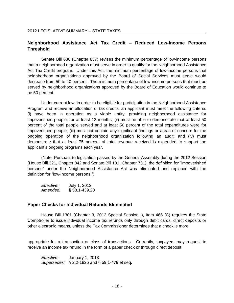#### <span id="page-23-0"></span>**Neighborhood Assistance Act Tax Credit – Reduced Low-Income Persons Threshold**

Senate Bill 680 (Chapter 837) revises the minimum percentage of low-income persons that a neighborhood organization must serve in order to qualify for the Neighborhood Assistance Act Tax Credit program. Under this Act, the minimum percentage of low-income persons that neighborhood organizations approved by the Board of Social Services must serve would decrease from 50 to 40 percent. The minimum percentage of low-income persons that must be served by neighborhood organizations approved by the Board of Education would continue to be 50 percent.

Under current law, in order to be eligible for participation in the Neighborhood Assistance Program and receive an allocation of tax credits, an applicant must meet the following criteria: (i) have been in operation as a viable entity, providing neighborhood assistance for impoverished people, for at least 12 months; (ii) must be able to demonstrate that at least 50 percent of the total people served and at least 50 percent of the total expenditures were for impoverished people; (iii) must not contain any significant findings or areas of concern for the ongoing operation of the neighborhood organization following an audit; and (iv) must demonstrate that at least 75 percent of total revenue received is expended to support the applicant's ongoing programs each year.

(Note: Pursuant to legislation passed by the General Assembly during the 2012 Session (House Bill 321, Chapter 842 and Senate Bill 131, Chapter 731), the definition for "impoverished persons" under the Neighborhood Assistance Act was eliminated and replaced with the definition for "low-income persons.")

| Effective: | July 1, 2012 |
|------------|--------------|
| Amended:   | §58.1-439.20 |

#### <span id="page-23-1"></span>**Paper Checks for Individual Refunds Eliminated**

House Bill 1301 (Chapter 3, 2012 Special Session I), Item 466 (C) requires the State Comptroller to issue individual income tax refunds only through debit cards, direct deposits or other electronic means, unless the Tax Commissioner determines that a check is more

appropriate for a transaction or class of transactions. Currently, taxpayers may request to receive an income tax refund in the form of a paper check or through direct deposit.

*Effective:* January 1, 2013 *Supersedes:* § 2.2-1825 and § 59.1-479 et seq.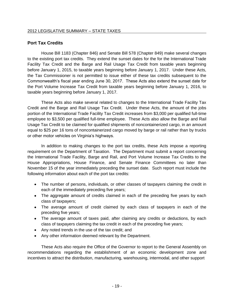#### <span id="page-24-0"></span>**Port Tax Credits**

House Bill 1183 (Chapter 846) and Senate Bill 578 (Chapter 849) make several changes to the existing port tax credits. They extend the sunset dates for the for the International Trade Facility Tax Credit and the Barge and Rail Usage Tax Credit from taxable years beginning before January 1, 2015, to taxable years beginning before January 1, 2017. Under these Acts, the Tax Commissioner is not permitted to issue either of these tax credits subsequent to the Commonwealth's fiscal year ending June 30, 2017. These Acts also extend the sunset date for the Port Volume Increase Tax Credit from taxable years beginning before January 1, 2016, to taxable years beginning before January 1, 2017.

These Acts also make several related to changes to the International Trade Facility Tax Credit and the Barge and Rail Usage Tax Credit. Under these Acts, the amount of the jobs portion of the International Trade Facility Tax Credit increases from \$3,000 per qualified full-time employee to \$3,500 per qualified full-time employee. These Acts also allow the Barge and Rail Usage Tax Credit to be claimed for qualified shipments of noncontainerized cargo, in an amount equal to \$25 per 16 tons of noncontainerized cargo moved by barge or rail rather than by trucks or other motor vehicles on Virginia's highways.

In addition to making changes to the port tax credits, these Acts impose a reporting requirement on the Department of Taxation. The Department must submit a report concerning the International Trade Facility, Barge and Rail, and Port Volume Increase Tax Credits to the House Appropriations, House Finance, and Senate Finance Committees no later than November 15 of the year immediately preceding the sunset date. Such report must include the following information about each of the port tax credits:

- The number of persons, individuals, or other classes of taxpayers claiming the credit in each of the immediately preceding five years;
- The aggregate amount of credits claimed in each of the preceding five years by each class of taxpayers;
- The average amount of credit claimed by each class of taxpayers in each of the preceding five years;
- The average amount of taxes paid, after claiming any credits or deductions, by each class of taxpayers claiming the tax credit in each of the preceding five years;
- Any noted trends in the use of the tax credit; and
- Any other information deemed relevant by the Department.

These Acts also require the Office of the Governor to report to the General Assembly on recommendations regarding the establishment of an economic development zone and incentives to attract the distribution, manufacturing, warehousing, intermodal, and other support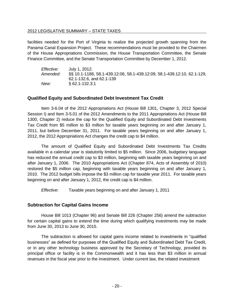facilities needed for the Port of Virginia to realize the projected growth spanning from the Panama Canal Expansion Project. These recommendations must be provided to the Chairmen of the House Appropriations Commission, the House Transportation Committee, the Senate Finance Committee, and the Senate Transportation Committee by December 1, 2012.

| <i>Effective:</i> | July 1, 2012.                                                           |
|-------------------|-------------------------------------------------------------------------|
| Amended:          | §§ 10.1-1188, 58.1-439.12:06, 58.1-439.12:09, 58.1-439.12:10, 62.1-129, |
|                   | 62.1-132.6, and 62.1-139                                                |
| New:              | $§$ 62.1-132.3:1                                                        |

#### <span id="page-25-0"></span>**Qualified Equity and Subordinated Debt Investment Tax Credit**

Item 3-6.04 of the 2012 Appropriations Act (House Bill 1301, Chapter 3, 2012 Special Session I) and Item 3-5.01 of the 2012 Amendments to the 2011 Appropriations Act (House Bill 1300, Chapter 2) reduce the cap for the Qualified Equity and Subordinated Debt Investments Tax Credit from \$5 million to \$3 million for taxable years beginning on and after January 1, 2011, but before December 31, 2011. For taxable years beginning on and after January 1, 2012, the 2012 Appropriations Act changes the credit cap to \$4 million.

The amount of Qualified Equity and Subordinated Debt Investments Tax Credits available in a calendar year is statutorily limited to \$5 million. Since 2006, budgetary language has reduced the annual credit cap to \$3 million, beginning with taxable years beginning on and after January 1, 2006. The 2010 Appropriations Act (Chapter 874, Acts of Assembly of 2010) restored the \$5 million cap, beginning with taxable years beginning on and after January 1, 2010. The 2012 budget bills impose the \$3 million cap for taxable year 2011. For taxable years beginning on and after January 1, 2012, the credit cap is \$4 million.

*Effective:* Taxable years beginning on and after January 1, 2011

#### <span id="page-25-1"></span>**Subtraction for Capital Gains Income**

House Bill 1013 (Chapter 96) and Senate Bill 226 (Chapter 256) amend the subtraction for certain capital gains to extend the time during which qualifying investments may be made from June 30, 2013 to June 30, 2015.

The subtraction is allowed for capital gains income related to investments in "qualified businesses" as defined for purposes of the Qualified Equity and Subordinated Debt Tax Credit, or in any other technology business approved by the Secretary of Technology, provided its principal office or facility is in the Commonwealth and it has less than \$3 million in annual revenues in the fiscal year prior to the investment. Under current law, the related investment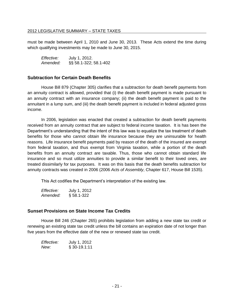must be made between April 1, 2010 and June 30, 2013. These Acts extend the time during which qualifying investments may be made to June 30, 2015.

| <i>Effective:</i> | July 1, 2012.         |
|-------------------|-----------------------|
| Amended:          | §§ 58.1-322; 58.1-402 |

#### <span id="page-26-0"></span>**Subtraction for Certain Death Benefits**

House Bill 879 (Chapter 305) clarifies that a subtraction for death benefit payments from an annuity contract is allowed, provided that (i) the death benefit payment is made pursuant to an annuity contract with an insurance company; (ii) the death benefit payment is paid to the annuitant in a lump sum, and (iii) the death benefit payment is included in federal adjusted gross income.

In 2006, legislation was enacted that created a subtraction for death benefit payments received from an annuity contract that are subject to federal income taxation. It is has been the Department's understanding that the intent of this law was to equalize the tax treatment of death benefits for those who cannot obtain life insurance because they are uninsurable for health reasons. Life insurance benefit payments paid by reason of the death of the insured are exempt from federal taxation, and thus exempt from Virginia taxation, while a portion of the death benefits from an annuity contract are taxable. Thus, those who cannot obtain standard life insurance and so must utilize annuities to provide a similar benefit to their loved ones, are treated dissimilarly for tax purposes. It was on this basis that the death benefits subtraction for annuity contracts was created in 2006 (2006 *Acts of Assembly*, Chapter 617, House Bill 1535).

This Act codifies the Department's interpretation of the existing law.

| <i>Effective:</i> | July 1, 2012   |
|-------------------|----------------|
| Amended:          | $§ 58.1 - 322$ |

#### <span id="page-26-1"></span>**Sunset Provisions on State Income Tax Credits**

House Bill 246 (Chapter 265) prohibits legislation from adding a new state tax credit or renewing an existing state tax credit unless the bill contains an expiration date of not longer than five years from the effective date of the new or renewed state tax credit.

| <i>Effective:</i> | July 1, 2012   |
|-------------------|----------------|
| New:              | $§$ 30-19.1:11 |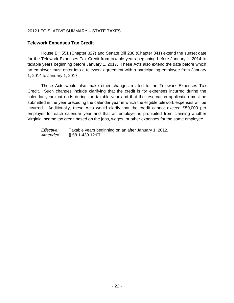#### <span id="page-27-0"></span>**Telework Expenses Tax Credit**

House Bill 551 (Chapter 327) and Senate Bill 238 (Chapter 341) extend the sunset date for the Telework Expenses Tax Credit from taxable years beginning before January 1, 2014 to taxable years beginning before January 1, 2017. These Acts also extend the date before which an employer must enter into a telework agreement with a participating employee from January 1, 2014 to January 1, 2017.

These Acts would also make other changes related to the Telework Expenses Tax Credit. Such changes include clarifying that the credit is for expenses incurred during the calendar year that ends during the taxable year and that the reservation application must be submitted in the year preceding the calendar year in which the eligible telework expenses will be incurred. Additionally, these Acts would clarify that the credit cannot exceed \$50,000 per employer for each calendar year and that an employer is prohibited from claiming another Virginia income tax credit based on the jobs, wages, or other expenses for the same employee.

*Effective:* Taxable years beginning on an after January 1, 2012. *Amended:* § 58.1-439.12:07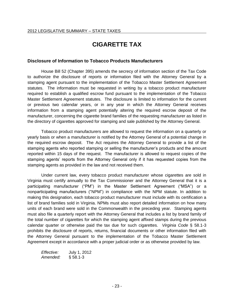### **CIGARETTE TAX**

#### <span id="page-28-1"></span><span id="page-28-0"></span>**Disclosure of Information to Tobacco Products Manufacturers**

House Bill 52 (Chapter 395) amends the secrecy of information section of the Tax Code to authorize the disclosure of reports or information filed with the Attorney General by a stamping agent pursuant to the implementation of the Tobacco Master Settlement Agreement statutes. The information must be requested in writing by a tobacco product manufacturer required to establish a qualified escrow fund pursuant to the implementation of the Tobacco Master Settlement Agreement statutes. The disclosure is limited to information for the current or previous two calendar years, or in any year in which the Attorney General receives information from a stamping agent potentially altering the required escrow deposit of the manufacturer, concerning the cigarette brand families of the requesting manufacturer as listed in the directory of cigarettes approved for stamping and sale published by the Attorney General.

Tobacco product manufacturers are allowed to request the information on a quarterly or yearly basis or when a manufacturer is notified by the Attorney General of a potential change in the required escrow deposit. The Act requires the Attorney General to provide a list of the stamping agents who reported stamping or selling the manufacturer's products and the amount reported within 15 days of the request. The manufacturer is allowed to request copies of the stamping agents' reports from the Attorney General only if it has requested copies from the stamping agents as provided in the law and not received them.

Under current law, every tobacco product manufacturer whose cigarettes are sold in Virginia must certify annually to the Tax Commissioner and the Attorney General that it is a participating manufacturer ("PM") in the Master Settlement Agreement ("MSA") or a nonparticipating manufacturers ("NPM") in compliance with the NPM statute. In addition to making this designation, each tobacco product manufacturer must include with its certification a list of brand families sold in Virginia. NPMs must also report detailed information on how many units of each brand were sold in the Commonwealth in the preceding year. Stamping agents must also file a quarterly report with the Attorney General that includes a list by brand family of the total number of cigarettes for which the stamping agent affixed stamps during the previous calendar quarter or otherwise paid the tax due for such cigarettes. *Virginia Code* § 58.1-3 prohibits the disclosure of reports, returns, financial documents or other information filed with the Attorney General pursuant to the implementation of the Tobacco Master Settlement Agreement except in accordance with a proper judicial order or as otherwise provided by law.

*Effective:* July 1, 2012 *Amended:* § 58.1-3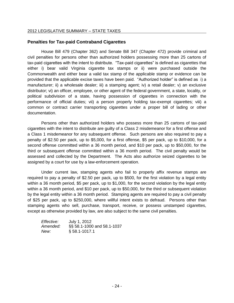#### <span id="page-29-0"></span>**Penalties for Tax-paid Contraband Cigarettes**

House Bill 479 (Chapter 362) and Senate Bill 347 (Chapter 472) provide criminal and civil penalties for persons other than authorized holders possessing more than 25 cartons of tax-paid cigarettes with the intent to distribute. "Tax-paid cigarettes" is defined as cigarettes that either i) bear valid Virginia cigarette tax stamps or ii) were purchased outside the Commonwealth and either bear a valid tax stamp of the applicable stamp or evidence can be provided that the applicable excise taxes have been paid. "Authorized holder" is defined as i) a manufacturer; ii) a wholesale dealer; iii) a stamping agent; iv) a retail dealer; v) an exclusive distributor; vi) an officer, employee, or other agent of the federal government, a state, locality, or political subdivision of a state, having possession of cigarettes in connection with the performance of official duties; vii) a person properly holding tax-exempt cigarettes; viii) a common or contract carrier transporting cigarettes under a proper bill of lading or other documentation.

Persons other than authorized holders who possess more than 25 cartons of tax-paid cigarettes with the intent to distribute are guilty of a Class 2 misdemeanor for a first offense and a Class 1 misdemeanor for any subsequent offense. Such persons are also required to pay a penalty of \$2.50 per pack, up to \$5,000, for a first offense, \$5 per pack, up to \$10,000, for a second offense committed within a 36 month period, and \$10 per pack, up to \$50,000, for the third or subsequent offense committed within a 36 month period. The civil penalty would be assessed and collected by the Department. The Acts also authorize seized cigarettes to be assigned by a court for use by a law-enforcement operation.

Under current law, stamping agents who fail to properly affix revenue stamps are required to pay a penalty of \$2.50 per pack, up to \$500, for the first violation by a legal entity within a 36 month period, \$5 per pack, up to \$1,000, for the second violation by the legal entity within a 36 month period, and \$10 per pack, up to \$50,000, for the third or subsequent violation by the legal entity within a 36 month period. Stamping agents are required to pay a civil penalty of \$25 per pack, up to \$250,000, where willful intent exists to defraud. Persons other than stamping agents who sell, purchase, transport, receive, or possess unstamped cigarettes, except as otherwise provided by law, are also subject to the same civil penalties.

| <i>Effective:</i> | July 1, 2012               |
|-------------------|----------------------------|
| Amended:          | §§ 58.1-1000 and 58.1-1037 |
| New:              | § 58.1-1017.1              |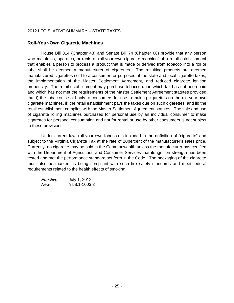#### <span id="page-30-0"></span>**Roll-Your-Own Cigarette Machines**

House Bill 314 (Chapter 48) and Senate Bill 74 (Chapter 68) provide that any person who maintains, operates, or rents a "roll-your-own cigarette machine" at a retail establishment that enables a person to process a product that is made or derived from tobacco into a roll or tube shall be deemed a manufacturer of cigarettes. The resulting products are deemed manufactured cigarettes sold to a consumer for purposes of the state and local cigarette taxes, the implementation of the Master Settlement Agreement, and reduced cigarette ignition propensity. The retail establishment may purchase tobacco upon which tax has not been paid and which has not met the requirements of the Master Settlement Agreement statutes provided that i) the tobacco is sold only to consumers for use in making cigarettes on the roll-your-own cigarette machines, ii) the retail establishment pays the taxes due on such cigarettes, and iii) the retail establishment complies with the Master Settlement Agreement statutes. The sale and use of cigarette rolling machines purchased for personal use by an individual consumer to make cigarettes for personal consumption and not for rental or use by other consumers is not subject to these provisions.

Under current law, roll-your-own tobacco is included in the definition of "cigarette" and subject to the Virginia Cigarette Tax at the rate of 10percent of the manufacturer's sales price. Currently, no cigarette may be sold in the Commonwealth unless the manufacturer has certified with the Department of Agricultural and Consumer Services that its ignition strength has been tested and met the performance standard set forth in the Code. The packaging of the cigarette must also be marked as being compliant with such fire safety standards and meet federal requirements related to the health effects of smoking.

| <i>Effective:</i> | July 1, 2012    |
|-------------------|-----------------|
| New:              | $§$ 58.1-1003.3 |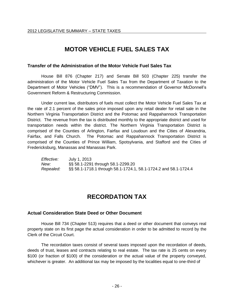### **MOTOR VEHICLE FUEL SALES TAX**

#### <span id="page-31-1"></span><span id="page-31-0"></span>**Transfer of the Administration of the Motor Vehicle Fuel Sales Tax**

House Bill 876 (Chapter 217) and Senate Bill 503 (Chapter 225) transfer the administration of the Motor Vehicle Fuel Sales Tax from the Department of Taxation to the Department of Motor Vehicles ("DMV"). This is a recommendation of Governor McDonnell's Government Reform & Restructuring Commission.

Under current law, distributors of fuels must collect the Motor Vehicle Fuel Sales Tax at the rate of 2.1 percent of the sales price imposed upon any retail dealer for retail sale in the Northern Virginia Transportation District and the Potomac and Rappahannock Transportation District. The revenue from the tax is distributed monthly to the appropriate district and used for transportation needs within the district. The Northern Virginia Transportation District is comprised of the Counties of Arlington, Fairfax and Loudoun and the Cities of Alexandria, Fairfax, and Falls Church. The Potomac and Rappahannock Transportation District is comprised of the Counties of Prince William, Spotsylvania, and Stafford and the Cities of Fredericksburg, Manassas and Manassas Park.

| Effective: | July 1, 2013                                                    |
|------------|-----------------------------------------------------------------|
| New:       | SS 58.1-2291 through 58.1-2299.20                               |
| Repealed:  | §§ 58.1-1718.1 through 58.1-1724.1, 58.1-1724.2 and 58.1-1724.4 |

### **RECORDATION TAX**

#### <span id="page-31-3"></span><span id="page-31-2"></span>**Actual Consideration State Deed or Other Document**

House Bill 734 (Chapter 513) requires that a deed or other document that conveys real property state on its first page the actual consideration in order to be admitted to record by the Clerk of the Circuit Court.

The recordation taxes consist of several taxes imposed upon the recordation of deeds, deeds of trust, leases and contracts relating to real estate. The tax rate is 25 cents on every \$100 (or fraction of \$100) of the consideration or the actual value of the property conveyed, whichever is greater. An additional tax may be imposed by the localities equal to one-third of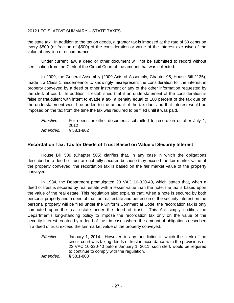the state tax. In addition to the tax on deeds, a grantor tax is imposed at the rate of 50 cents on every \$500 (or fraction of \$500) of the consideration or value of the interest exclusive of the value of any lien or encumbrance.

Under current law, a deed or other document will not be submitted to record without certification from the Clerk of the Circuit Court of the amount that was collected.

In 2009, the General Assembly (2009 Acts of Assembly, Chapter 95, House Bill 2135), made it a Class 1 misdemeanor to knowingly misrepresent the consideration for the interest in property conveyed by a deed or other instrument or any of the other information requested by the clerk of court. In addition, it established that if an understatement of the consideration is false or fraudulent with intent to evade a tax, a penalty equal to 100 percent of the tax due on the understatement would be added to the amount of the tax due, and that interest would be imposed on the tax from the time the tax was required to be filed until it was paid.

*Effective:* For deeds or other documents submitted to record on or after July 1, 2012 *Amended:* § 58.1-802

#### <span id="page-32-0"></span>**Recordation Tax: Tax for Deeds of Trust Based on Value of Security Interest**

House Bill 509 (Chapter 505) clarifies that, in any case in which the obligations described in a deed of trust are not fully secured because they exceed the fair market value of the property conveyed, the recordation tax is based on the fair market value of the property conveyed.

In 1984, the Department promulgated 23 VAC 10-320-40, which states that, when a deed of trust is secured by real estate with a lesser value than the note, the tax is based upon the value of the real estate. This regulation also explains that, when a note is secured by both personal property and a deed of trust on real estate and perfection of the security interest on the personal property will be filed under the Uniform Commercial Code, the recordation tax is only computed upon the real estate under the deed of trust. This Act simply codifies the Department's long-standing policy to impose the recordation tax only on the value of the security interest created by a deed of trust in cases where the amount of obligations described in a deed of trust exceed the fair market value of the property conveyed.

*Effective:* January 1, 2014. However, in any jurisdiction in which the clerk of the circuit court was taxing deeds of trust in accordance with the provisions of 23 VAC 10-320-40 before January 1, 2011, such clerk would be required to continue to comply with the regulation. *Amended:* § 58.1-803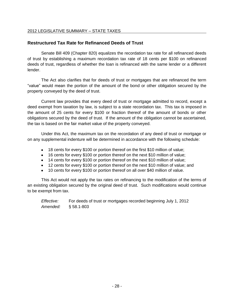#### <span id="page-33-0"></span>**Restructured Tax Rate for Refinanced Deeds of Trust**

Senate Bill 409 (Chapter 820) equalizes the recordation tax rate for all refinanced deeds of trust by establishing a maximum recordation tax rate of 18 cents per \$100 on refinanced deeds of trust, regardless of whether the loan is refinanced with the same lender or a different lender.

The Act also clarifies that for deeds of trust or mortgages that are refinanced the term "value" would mean the portion of the amount of the bond or other obligation secured by the property conveyed by the deed of trust.

Current law provides that every deed of trust or mortgage admitted to record, except a deed exempt from taxation by law, is subject to a state recordation tax. This tax is imposed in the amount of 25 cents for every \$100 or fraction thereof of the amount of bonds or other obligations secured by the deed of trust. If the amount of the obligation cannot be ascertained, the tax is based on the fair market value of the property conveyed.

Under this Act, the maximum tax on the recordation of any deed of trust or mortgage or on any supplemental indenture will be determined in accordance with the following schedule:

- 18 cents for every \$100 or portion thereof on the first \$10 million of value;
- 16 cents for every \$100 or portion thereof on the next \$10 million of value;
- 14 cents for every \$100 or portion thereof on the next \$10 million of value;
- 12 cents for every \$100 or portion thereof on the next \$10 million of value; and
- 10 cents for every \$100 or portion thereof on all over \$40 million of value.

This Act would not apply the tax rates on refinancing to the modification of the terms of an existing obligation secured by the original deed of trust. Such modifications would continue to be exempt from tax.

*Effective:* For deeds of trust or mortgages recorded beginning July 1, 2012 *Amended:* § 58.1-803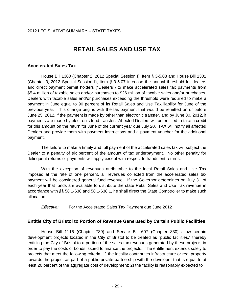## **RETAIL SALES AND USE TAX**

#### <span id="page-34-1"></span><span id="page-34-0"></span>**Accelerated Sales Tax**

House Bill 1300 (Chapter 2, 2012 Special Session I), Item § 3-5.08 and House Bill 1301 (Chapter 3, 2012 Special Session I), Item § 3-5.07 increase the annual threshold for dealers and direct payment permit holders ("Dealers") to make accelerated sales tax payments from \$5.4 million of taxable sales and/or purchases to \$26 million of taxable sales and/or purchases. Dealers with taxable sales and/or purchases exceeding the threshold were required to make a payment in June equal to 90 percent of its Retail Sales and Use Tax liability for June of the previous year. This change begins with the tax payment that would be remitted on or before June 25, 2012, if the payment is made by other than electronic transfer, and by June 30, 2012, if payments are made by electronic fund transfer. Affected Dealers will be entitled to take a credit for this amount on the return for June of the current year due July 20. TAX will notify all affected Dealers and provide them with payment instructions and a payment voucher for the additional payment.

The failure to make a timely and full payment of the accelerated sales tax will subject the Dealer to a penalty of six percent of the amount of tax underpayment. No other penalty for delinquent returns or payments will apply except with respect to fraudulent returns.

With the exception of revenues attributable to the local Retail Sales and Use Tax imposed at the rate of one percent, all revenues collected from the accelerated sales tax payment will be considered general fund revenue. If the Governor determines on July 31 of each year that funds are available to distribute the state Retail Sales and Use Tax revenue in accordance with §§ 58.1-638 and 58.1-638.1, he shall direct the State Comptroller to make such allocation.

*Effective:* For the Accelerated Sales Tax Payment due June 2012

#### <span id="page-34-2"></span>**Entitle City of Bristol to Portion of Revenue Generated by Certain Public Facilities**

House Bill 1116 (Chapter 789) and Senate Bill 607 (Chapter 830) allow certain development projects located in the City of Bristol to be treated as "public facilities," thereby entitling the City of Bristol to a portion of the sales tax revenues generated by these projects in order to pay the costs of bonds issued to finance the projects. The entitlement extends solely to projects that meet the following criteria: 1) the locality contributes infrastructure or real property towards the project as part of a public-private partnership with the developer that is equal to at least 20 percent of the aggregate cost of development; 2) the facility is reasonably expected to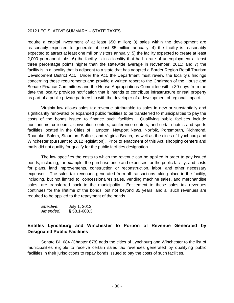require a capital investment of at least \$50 million; 3) sales within the development are reasonably expected to generate at least \$5 million annually; 4) the facility is reasonably expected to attract at least one million visitors annually; 5) the facility expected to create at least 2,000 permanent jobs; 6) the facility is in a locality that had a rate of unemployment at least three percentage points higher than the statewide average in November, 2011; and 7) the facility is in a locality that is adjacent to a state that has adopted a Border Region Retail Tourism Development District Act. Under the Act, the Department must review the locality's findings concerning these requirements and provide a written report to the Chairmen of the House and Senate Finance Committees and the House Appropriations Committee within 30 days from the date the locality provides notification that it intends to contribute infrastructure or real property as part of a public-private partnership with the developer of a development of regional impact.

Virginia law allows sales tax revenue attributable to sales in new or substantially and significantly renovated or expanded public facilities to be transferred to municipalities to pay the costs of the bonds issued to finance such facilities. Qualifying public facilities include auditoriums, coliseums, convention centers, conference centers, and certain hotels and sports facilities located in the Cities of Hampton, Newport News, Norfolk, Portsmouth, Richmond, Roanoke, Salem, Staunton, Suffolk, and Virginia Beach, as well as the cities of Lynchburg and Winchester (pursuant to 2012 legislation). Prior to enactment of this Act, shopping centers and malls did not qualify for qualify for the public facilities designation.

The law specifies the costs to which the revenue can be applied in order to pay issued bonds, including, for example, the purchase price and expenses for the public facility, and costs for plans, land improvements, construction or reconstruction, labor, and other necessary expenses. The sales tax revenues generated from all transactions taking place in the facility, including, but not limited to, concessionaires sales, vending machine sales, and merchandise sales, are transferred back to the municipality. Entitlement to these sales tax revenues continues for the lifetime of the bonds, but not beyond 35 years, and all such revenues are required to be applied to the repayment of the bonds.

| <i>Effective:</i> | July 1, 2012     |
|-------------------|------------------|
| Amended:          | $§ 58.1 - 608.3$ |

#### <span id="page-35-0"></span>**Entitles Lynchburg and Winchester to Portion of Revenue Generated by Designated Public Facilities**

Senate Bill 684 (Chapter 678) adds the cities of Lynchburg and Winchester to the list of municipalities eligible to receive certain sales tax revenues generated by qualifying public facilities in their jurisdictions to repay bonds issued to pay the costs of such facilities.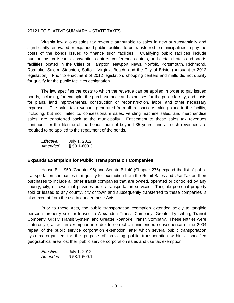#### 2012 LEGISLATIVE SUMMARY – STATE TAXES

Virginia law allows sales tax revenue attributable to sales in new or substantially and significantly renovated or expanded public facilities to be transferred to municipalities to pay the costs of the bonds issued to finance such facilities. Qualifying public facilities include auditoriums, coliseums, convention centers, conference centers, and certain hotels and sports facilities located in the Cities of Hampton, Newport News, Norfolk, Portsmouth, Richmond, Roanoke, Salem, Staunton, Suffolk, Virginia Beach, and the City of Bristol (pursuant to 2012 legislation). Prior to enactment of 2012 legislation, shopping centers and malls did not qualify for qualify for the public facilities designation.

The law specifies the costs to which the revenue can be applied in order to pay issued bonds, including, for example, the purchase price and expenses for the public facility, and costs for plans, land improvements, construction or reconstruction, labor, and other necessary expenses. The sales tax revenues generated from all transactions taking place in the facility, including, but not limited to, concessionaire sales, vending machine sales, and merchandise sales, are transferred back to the municipality. Entitlement to these sales tax revenues continues for the lifetime of the bonds, but not beyond 35 years, and all such revenues are required to be applied to the repayment of the bonds.

*Effective:* July 1, 2012. *Amended:* § 58.1-608.3

## **Expands Exemption for Public Transportation Companies**

House Bills 959 (Chapter 95) and Senate Bill 40 (Chapter 276) expand the list of public transportation companies that qualify for exemption from the Retail Sales and Use Tax on their purchases to include all other transit companies that are owned, operated or controlled by any county, city, or town that provides public transportation services. Tangible personal property sold or leased to any county, city or town and subsequently transferred to these companies is also exempt from the use tax under these Acts.

Prior to these Acts, the public transportation exemption extended solely to tangible personal property sold or leased to Alexandria Transit Company, Greater Lynchburg Transit Company, GRTC Transit System, and Greater Roanoke Transit Company. These entities were statutorily granted an exemption in order to correct an unintended consequence of the 2004 repeal of the public service corporation exemption, after which several public transportation systems organized for the purpose of providing public transportation within a specified geographical area lost their public service corporation sales and use tax exemption.

*Effective:* July 1, 2012 *Amended:* § 58.1-609.1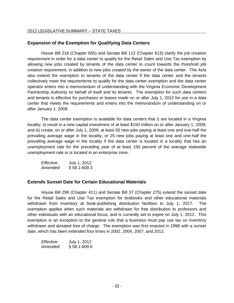## **Expansion of the Exemption for Qualifying Data Centers**

House Bill 216 (Chapter 655) and Senate Bill 112 (Chapter 613) clarify the job creation requirement in order for a data center to qualify for the Retail Sales and Use Tax exemption by allowing new jobs created by tenants of the data center to count towards the threshold job creation requirement, in addition to new jobs created by the owner of the data center. The Acts also extend the exemption to tenants of the data center if the data center and the tenants collectively meet the requirements to qualify for the data center exemption and the data center operator enters into a memorandum of understanding with the Virginia Economic Development Partnership Authority on behalf of itself and its tenants. The exemption for such data centers and tenants is effective for purchases or leases made on or after July 1, 2012 for use in a data center that meets the requirements and enters into the memorandum of understanding on or after January 1, 2009.

The data center exemption is available for data centers that i) are located in a Virginia locality; ii) result in a new capital investment of at least \$150 million on or after January 1, 2009; and iii) create, on or after July 1, 2009, at least 50 new jobs paying at least one and one-half the prevailing average wage in the locality, or 25 new jobs paying at least one and one-half the prevailing average wage in the locality if the data center is located in a locality that has an unemployment rate for the preceding year of at least 150 percent of the average statewide unemployment rate or is located in an enterprise zone.

| Effective: | July 1, 2012   |
|------------|----------------|
| Amended:   | $§$ 58.1-609.3 |

## **Extends Sunset Date for Certain Educational Materials**

House Bill 299 (Chapter 411) and Senate Bill 37 (Chapter 275) extend the sunset date for the Retail Sales and Use Tax exemption for textbooks and other educational materials withdrawn from inventory at book-publishing distribution facilities to July 1, 2017. The exemption applies when such materials are withdrawn for free distribution to professors and other individuals with an educational focus, and is currently set to expire on July 1, 2012. This exemption is an exception to the general rule that a business must pay use tax on inventory withdrawn and donated free of charge. The exemption was first enacted in 1998 with a sunset date, which has been extended four times in 2002, 2004, 2007, and 2012.

| <i>Effective:</i> | July 1, 2012   |
|-------------------|----------------|
| Amended:          | $§$ 58.1-609.6 |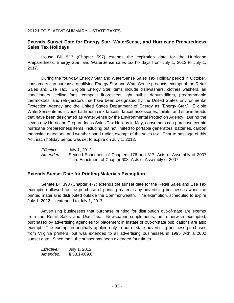### **Extends Sunset Date for Energy Star, WaterSense, and Hurricane Preparedness Sales Tax Holidays**

House Bill 513 (Chapter 597) extends the expiration date for the Hurricane Preparedness, Energy Star, and WaterSense sales tax holidays from July 1, 2012 to July 1, 2017.

During the four-day Energy Star and WaterSense Sales Tax Holiday period in October, consumers can purchase qualifying Energy Star and WaterSense products exempt of the Retail Sales and Use Tax. Eligible Energy Star items include dishwashers, clothes washers, air conditioners, ceiling fans, compact fluorescent light bulbs, dehumidifiers, programmable thermostats, and refrigerators that have been designated by the United States Environmental Protection Agency and the United States Department of Energy as "Energy Star." Eligible WaterSense items include bathroom sink faucets, faucet accessories, toilets, and showerheads that have been designated as WaterSense by the Environmental Protection Agency. During the seven-day Hurricane Preparedness Sales Tax Holiday in May, consumers can purchase certain hurricane preparedness items, including but not limited to portable generators, batteries, carbon monoxide detectors, and weather band radios exempt of the sales tax. Prior to passage of this Act, each holiday period was set to expire on July 1, 2012.

*Effective:* July 1, 2012. *Amended:* Second Enactment of Chapters 176 and 817, Acts of Assembly of 2007 Third Enactment of Chapter 608, Acts of Assembly of 2007.

## **Extends Sunset Date for Printing Materials Exemption**

Senate Bill 393 (Chapter 477) extends the sunset date for the Retail Sales and Use Tax exemption allowed for the purchase of printing materials by advertising businesses when the printed material is distributed outside the Commonwealth. The exemption, scheduled to expire July 1, 2012, is extended to July 1, 2017.

Advertising businesses that purchase printing for distribution out-of-state are exempt from the Retail Sales and Use Tax. Newspaper supplements, not otherwise exempted, purchased by advertising agencies for placement in instate or out-of-state publications are also exempt. The exemption originally applied only to out-of-state advertising business purchases from Virginia printers, but was extended to all advertising businesses in 1995 with a 2002 sunset date. Since then, the sunset has been extended four times.

| <i>Effective:</i> | July 1, 2012   |
|-------------------|----------------|
| Amended:          | $§$ 58.1-609.6 |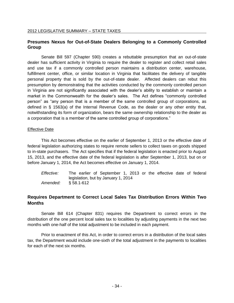## **Presumes Nexus for Out-of-State Dealers Belonging to a Commonly Controlled Group**

Senate Bill 597 (Chapter 590) creates a rebuttable presumption that an out-of-state dealer has sufficient activity in Virginia to require the dealer to register and collect retail sales and use tax if a commonly controlled person maintains a distribution center, warehouse, fulfillment center, office, or similar location in Virginia that facilitates the delivery of tangible personal property that is sold by the out-of-state dealer. Affected dealers can rebut this presumption by demonstrating that the activities conducted by the commonly controlled person in Virginia are not significantly associated with the dealer's ability to establish or maintain a market in the Commonwealth for the dealer's sales. The Act defines "commonly controlled person" as "any person that is a member of the same controlled group of corporations, as defined in § 1563(a) of the Internal Revenue Code, as the dealer or any other entity that, notwithstanding its form of organization, bears the same ownership relationship to the dealer as a corporation that is a member of the same controlled group of corporations."

#### Effective Date

This Act becomes effective on the earlier of September 1, 2013 or the effective date of federal legislation authorizing states to require remote sellers to collect taxes on goods shipped to in-state purchasers. The Act specifies that if the federal legislation is enacted prior to August 15, 2013, and the effective date of the federal legislation is after September 1, 2013, but on or before January 1, 2014, the Act becomes effective on January 1, 2014.

| <i>Effective:</i>   | The earlier of September 1, 2013 or the effective date of federal |
|---------------------|-------------------------------------------------------------------|
|                     | legislation, but by January 1, 2014                               |
| Amended: § 58.1-612 |                                                                   |

# **Requires Department to Correct Local Sales Tax Distribution Errors Within Two Months**

Senate Bill 614 (Chapter 831) requires the Department to correct errors in the distribution of the one percent local sales tax to localities by adjusting payments in the next two months with one-half of the total adjustment to be included in each payment.

Prior to enactment of this Act, in order to correct errors in a distribution of the local sales tax, the Department would include one-sixth of the total adjustment in the payments to localities for each of the next six months.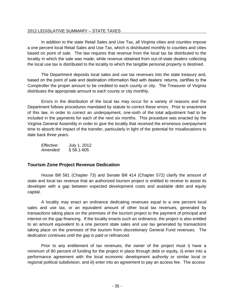#### 2012 LEGISLATIVE SUMMARY – STATE TAXES

In addition to the state Retail Sales and Use Tax, all Virginia cities and counties impose a one percent local Retail Sales and Use Tax, which is distributed monthly to counties and cities based on point of sale. The law requires that revenue from the local tax be distributed to the locality in which the sale was made, while revenue obtained from out-of-state dealers collecting the local use tax is distributed to the locality to which the tangible personal property is destined.

The Department deposits local sales and use tax revenues into the state treasury and, based on the point of sale and destination information filed with dealers' returns, certifies to the Comptroller the proper amount to be credited to each county or city. The Treasurer of Virginia distributes the appropriate amount to each county or city monthly.

Errors in the distribution of the local tax may occur for a variety of reasons and the Department follows procedures mandated by statute to correct these errors. Prior to enactment of this law, in order to correct an underpayment, one-sixth of the total adjustment had to be included in the payments for each of the next six months. This procedure was enacted by the Virginia General Assembly in order to give the locality that received the erroneous overpayment time to absorb the impact of the transfer, particularly in light of the potential for misallocations to date back three years.

*Effective:* July 1, 2012 *Amended:* § 58.1-605

## **Tourism Zone Project Revenue Dedication**

House Bill 581 (Chapter 73) and Senate Bill 414 (Chapter 572) clarify the amount of state and local tax revenue that an authorized tourism project is entitled to receive to assist its developer with a gap between expected development costs and available debt and equity capital.

A locality may enact an ordinance dedicating revenues equal to a one percent local sales and use tax, or an equivalent amount of other local tax revenues, generated by transactions taking place on the premises of the tourism project to the payment of principal and interest on the gap financing. If the locality enacts such an ordinance, the project is also entitled to an amount equivalent to a one percent state sales and use tax generated by transactions taking place on the premises of the tourism from discretionary General Fund revenues. The dedication continues until the gap is paid or refinanced.

Prior to any entitlement of tax revenues, the owner of the project must i) have a minimum of 80 percent of funding for the project in place through debt or equity, ii) enter into a performance agreement with the local economic development authority or similar local or regional political subdivision, and iii) enter into an agreement to pay an access fee. The access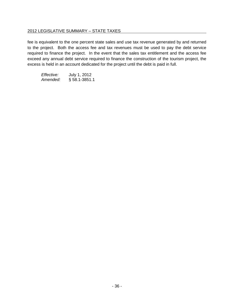#### 2012 LEGISLATIVE SUMMARY – STATE TAXES

fee is equivalent to the one percent state sales and use tax revenue generated by and returned to the project. Both the access fee and tax revenues must be used to pay the debt service required to finance the project. In the event that the sales tax entitlement and the access fee exceed any annual debt service required to finance the construction of the tourism project, the excess is held in an account dedicated for the project until the debt is paid in full.

*Effective:* July 1, 2012 *Amended:* § 58.1-3851.1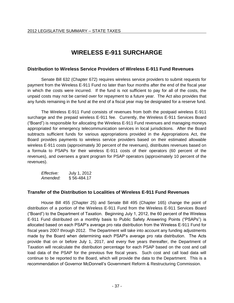# **WIRELESS E-911 SURCHARGE**

#### **Distribution to Wireless Service Providers of Wireless E-911 Fund Revenues**

Senate Bill 632 (Chapter 672) requires wireless service providers to submit requests for payment from the Wireless E-911 Fund no later than four months after the end of the fiscal year in which the costs were incurred. If the fund is not sufficient to pay for all of the costs, the unpaid costs may not be carried over for repayment to a future year. The Act also provides that any funds remaining in the fund at the end of a fiscal year may be designated for a reserve fund.

The Wireless E-911 Fund consists of revenues from both the postpaid wireless E-911 surcharge and the prepaid wireless E-911 fee. Currently, the Wireless E-911 Services Board ("Board") is responsible for allocating the Wireless E-911 Fund revenues and managing moneys appropriated for emergency telecommunication services in local jurisdictions. After the Board subtracts sufficient funds for various appropriations provided in the Appropriations Act, the Board provides payments to wireless service providers based on their estimated allowable wireless E-911 costs (approximately 30 percent of the revenues), distributes revenues based on a formula to PSAPs for their wireless E-911 costs of their operators (60 percent of the revenues), and oversees a grant program for PSAP operators (approximately 10 percent of the revenues).

*Effective:* July 1, 2012 *Amended:* § 56-484.17

## **Transfer of the Distribution to Localities of Wireless E-911 Fund Revenues**

House Bill 455 (Chapter 25) and Senate Bill 495 (Chapter 165) change the point of distribution of a portion of the Wireless E-911 Fund from the Wireless E-911 Services Board ("Board") to the Department of Taxation. Beginning July 1, 2012, the 60 percent of the Wireless E-911 Fund distributed on a monthly basis to Public Safety Answering Points ("PSAPs") is allocated based on each PSAP's average pro rata distribution from the Wireless E-911 Fund for fiscal years 2007 through 2012. The Department will take into account any funding adjustments made by the Board when determining each PSAP's average pro rata distribution. The Acts provide that on or before July 1, 2017, and every five years thereafter, the Department of Taxation will recalculate the distribution percentage for each PSAP based on the cost and call load data of the PSAP for the previous five fiscal years. Such cost and call load data will continue to be reported to the Board, which will provide the data to the Department. This is a recommendation of Governor McDonnell's Government Reform & Restructuring Commission.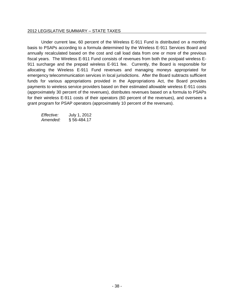#### 2012 LEGISLATIVE SUMMARY – STATE TAXES

Under current law, 60 percent of the Wireless E-911 Fund is distributed on a monthly basis to PSAPs according to a formula determined by the Wireless E-911 Services Board and annually recalculated based on the cost and call load data from one or more of the previous fiscal years. The Wireless E-911 Fund consists of revenues from both the postpaid wireless E-911 surcharge and the prepaid wireless E-911 fee. Currently, the Board is responsible for allocating the Wireless E-911 Fund revenues and managing moneys appropriated for emergency telecommunication services in local jurisdictions. After the Board subtracts sufficient funds for various appropriations provided in the Appropriations Act, the Board provides payments to wireless service providers based on their estimated allowable wireless E-911 costs (approximately 30 percent of the revenues), distributes revenues based on a formula to PSAPs for their wireless E-911 costs of their operators (60 percent of the revenues), and oversees a grant program for PSAP operators (approximately 10 percent of the revenues).

| Effective: | July 1, 2012    |
|------------|-----------------|
| Amended:   | $§ 56 - 484.17$ |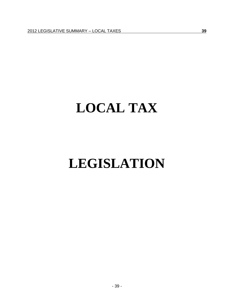# **LOCAL TAX**

# **LEGISLATION**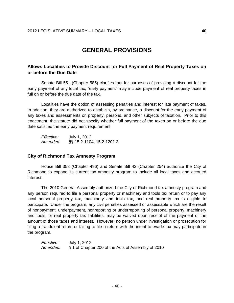# **GENERAL PROVISIONS**

# **Allows Localities to Provide Discount for Full Payment of Real Property Taxes on or before the Due Date**

Senate Bill 551 (Chapter 585) clarifies that for purposes of providing a discount for the early payment of any local tax, "early payment" may include payment of real property taxes in full on or before the due date of the tax.

Localities have the option of assessing penalties and interest for late payment of taxes. In addition, they are authorized to establish, by ordinance, a discount for the early payment of any taxes and assessments on property, persons, and other subjects of taxation. Prior to this enactment, the statute did not specify whether full payment of the taxes on or before the due date satisfied the early payment requirement.

*Effective:* July 1, 2012 *Amended:* §§ 15.2-1104, 15.2-1201.2

#### **City of Richmond Tax Amnesty Program**

House Bill 358 (Chapter 496) and Senate Bill 42 (Chapter 254) authorize the City of Richmond to expand its current tax amnesty program to include all local taxes and accrued interest.

The 2010 General Assembly authorized the City of Richmond tax amnesty program and any person required to file a personal property or machinery and tools tax return or to pay any local personal property tax, machinery and tools tax, and real property tax is eligible to participate. Under the program, any civil penalties assessed or assessable which are the result of nonpayment, underpayment, nonreporting or underreporting of personal property, machinery and tools, or real property tax liabilities, may be waived upon receipt of the payment of the amount of those taxes and interest. However, no person under investigation or prosecution for filing a fraudulent return or failing to file a return with the intent to evade tax may participate in the program.

*Effective:* July 1, 2012 *Amended:* § 1 of Chapter 200 of the Acts of Assembly of 2010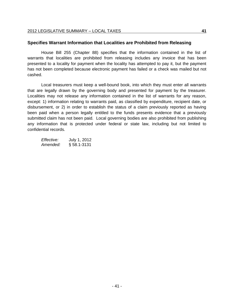#### **Specifies Warrant Information that Localities are Prohibited from Releasing**

House Bill 255 (Chapter 88) specifies that the information contained in the list of warrants that localities are prohibited from releasing includes any invoice that has been presented to a locality for payment when the locality has attempted to pay it, but the payment has not been completed because electronic payment has failed or a check was mailed but not cashed.

Local treasurers must keep a well-bound book, into which they must enter all warrants that are legally drawn by the governing body and presented for payment by the treasurer. Localities may not release any information contained in the list of warrants for any reason, except: 1) information relating to warrants paid, as classified by expenditure, recipient date, or disbursement, or 2) in order to establish the status of a claim previously reported as having been paid when a person legally entitled to the funds presents evidence that a previously submitted claim has not been paid. Local governing bodies are also prohibited from publishing any information that is protected under federal or state law, including but not limited to confidential records.

*Effective:* July 1, 2012 *Amended:* § 58.1-3131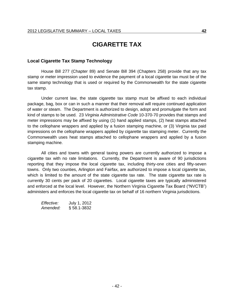# **CIGARETTE TAX**

#### **Local Cigarette Tax Stamp Technology**

House Bill 277 (Chapter 89) and Senate Bill 394 (Chapters 258) provide that any tax stamp or meter impression used to evidence the payment of a local cigarette tax must be of the same stamp technology that is used or required by the Commonwealth for the state cigarette tax stamp.

Under current law, the state cigarette tax stamp must be affixed to each individual package, bag, box or can in such a manner that their removal will require continued application of water or steam. The Department is authorized to design, adopt and promulgate the form and kind of stamps to be used. 23 *Virginia Administrative Code* 10-370-70 provides that stamps and meter impressions may be affixed by using (1) hand applied stamps, (2) heat stamps attached to the cellophane wrappers and applied by a fusion stamping machine, or (3) Virginia tax paid impressions on the cellophane wrappers applied by cigarette tax stamping meter. Currently the Commonwealth uses heat stamps attached to cellophane wrappers and applied by a fusion stamping machine.

All cities and towns with general taxing powers are currently authorized to impose a cigarette tax with no rate limitations. Currently, the Department is aware of 90 jurisdictions reporting that they impose the local cigarette tax, including thirty-one cities and fifty-seven towns. Only two counties, Arlington and Fairfax, are authorized to impose a local cigarette tax, which is limited to the amount of the state cigarette tax rate. The state cigarette tax rate is currently 30 cents per pack of 20 cigarettes. Local cigarette taxes are typically administered and enforced at the local level. However, the Northern Virginia Cigarette Tax Board ("NVCTB") administers and enforces the local cigarette tax on behalf of 16 northern Virginia jurisdictions.

| <i>Effective:</i> | July 1, 2012    |
|-------------------|-----------------|
| Amended:          | $§ 58.1 - 3832$ |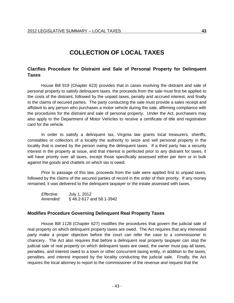# **COLLECTION OF LOCAL TAXES**

## **Clarifies Procedure for Distraint and Sale of Personal Property for Delinquent Taxes**

House Bill 919 (Chapter 623) provides that in cases involving the distraint and sale of personal property to satisfy delinquent taxes, the proceeds from the sale must first be applied to the costs of the distraint, followed by the unpaid taxes, penalty and accrued interest, and finally to the claims of secured parties. The party conducting the sale must provide a sales receipt and affidavit to any person who purchases a motor vehicle during the sale, affirming compliance with the procedures for the distraint and sale of personal property. Under the Act, purchasers may also apply to the Department of Motor Vehicles to receive a certificate of title and registration card for the vehicle.

In order to satisfy a delinquent tax, Virginia law grants local treasurers, sheriffs, constables or collectors of a locality the authority to seize and sell personal property in the locality that is owned by the person owing the delinquent taxes. If a third party has a security interest in the property at issue, and that interest is perfected prior to any distraint for taxes, it will have priority over all taxes, except those specifically assessed either per item or in bulk against the goods and chattels on which tax is owed.

Prior to passage of this law, proceeds from the sale were applied first to unpaid taxes, followed by the claims of the secured parties of record in the order of their priority. If any money remained, it was delivered to the delinquent taxpayer or the estate assessed with taxes.

*Effective:* July 1, 2012 *Amended:* § 46.2-617 and 58.1-3942

#### **Modifies Procedure Governing Delinquent Real Property Taxes**

House Bill 1128 (Chapter 627) modifies the procedures that govern the judicial sale of real property on which delinquent property taxes are owed. The Act requires that any interested party make a proper objection before the court can refer the case to a commissioner in chancery. The Act also requires that before a delinquent real property taxpayer can stop the judicial sale of real property on which delinquent taxes are owed, the owner must pay all taxes, penalties, and interest owed to a town or other concurrent taxing entity, in addition to the taxes, penalties, and interest imposed by the locality conducting the judicial sale. Finally, the Act requires the local attorney to report to the commissioner of the revenue and request that the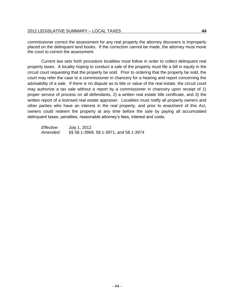commissioner correct the assessment for any real property the attorney discovers is improperly placed on the delinquent land books. If the correction cannot be made, the attorney must move the court to correct the assessment.

Current law sets forth procedure localities must follow in order to collect delinquent real property taxes. A locality hoping to conduct a sale of the property must file a bill in equity in the circuit court requesting that the property be sold. Prior to ordering that the property be sold, the court may refer the case to a commissioner in chancery for a hearing and report concerning the advisability of a sale. If there is no dispute as to title or value of the real estate, the circuit court may authorize a tax sale without a report by a commissioner in chancery upon receipt of 1) proper service of process on all defendants, 2) a written real estate title certificate, and 3) the written report of a licensed real estate appraiser. Localities must notify all property owners and other parties who have an interest in the real property, and prior to enactment of this Act, owners could redeem the property at any time before the sale by paying all accumulated delinquent taxes, penalties, reasonable attorney's fees, interest and costs.

*Effective:* July 1, 2012 *Amended:* §§ 58.1-3969, 58.1-3971, and 58.1-3974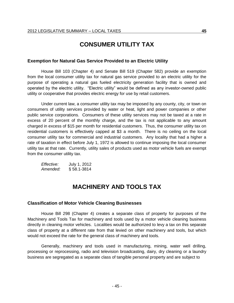# **CONSUMER UTILITY TAX**

### **Exemption for Natural Gas Service Provided to an Electric Utility**

House Bill 103 (Chapter 4) and Senate Bill 519 (Chapter 582) provide an exemption from the local consumer utility tax for natural gas service provided to an electric utility for the purpose of operating a natural gas fueled electricity generation facility that is owned and operated by the electric utility. "Electric utility" would be defined as any investor-owned public utility or cooperative that provides electric energy for use by retail customers.

Under current law, a consumer utility tax may be imposed by any county, city, or town on consumers of utility services provided by water or heat, light and power companies or other public service corporations. Consumers of these utility services may not be taxed at a rate in excess of 20 percent of the monthly charge, and the tax is not applicable to any amount charged in excess of \$15 per month for residential customers. Thus, the consumer utility tax on residential customers is effectively capped at \$3 a month. There is no ceiling on the local consumer utility tax for commercial and industrial customers. Any locality that had a higher a rate of taxation in effect before July 1, 1972 is allowed to continue imposing the local consumer utility tax at that rate. Currently, utility sales of products used as motor vehicle fuels are exempt from the consumer utility tax.

*Effective:* July 1, 2012 *Amended:* § 58.1-3814

# **MACHINERY AND TOOLS TAX**

#### **Classification of Motor Vehicle Cleaning Businesses**

House Bill 298 (Chapter 4) creates a separate class of property for purposes of the Machinery and Tools Tax for machinery and tools used by a motor vehicle cleaning business directly in cleaning motor vehicles. Localities would be authorized to levy a tax on this separate class of property at a different rate from that levied on other machinery and tools, but which would not exceed the rate for the general class of machinery and tools.

Generally, machinery and tools used in manufacturing, mining, water well drilling, processing or reprocessing, radio and television broadcasting, dairy, dry cleaning or a laundry business are segregated as a separate class of tangible personal property and are subject to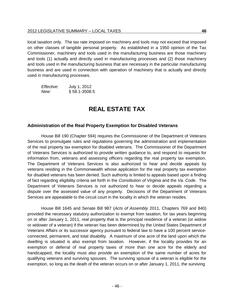local taxation only. The tax rate imposed on machinery and tools may not exceed that imposed on other classes of tangible personal property. As established in a 1950 opinion of the Tax Commissioner, machinery and tools used in the manufacturing business are those machinery and tools (1) actually and directly used in manufacturing processes and (2) those machinery and tools used in the manufacturing business that are necessary in the particular manufacturing business and are used in connection with operation of machinery that is actually and directly used in manufacturing processes.

*Effective:* July 1, 2012 *New:* § 58.1-3508.5

# **REAL ESTATE TAX**

#### **Administration of the Real Property Exemption for Disabled Veterans**

House Bill 190 (Chapter 594) requires the Commissioner of the Department of Veterans Services to promulgate rules and regulations governing the administration and implementation of the real property tax exemption for disabled veterans. The Commissioner of the Department of Veterans Services is authorized to provide written guidance to, and respond to requests for information from, veterans and assessing officers regarding the real property tax exemption. The Department of Veterans Services is also authorized to hear and decide appeals by veterans residing in the Commonwealth whose application for the real property tax exemption for disabled veterans has been denied. Such authority is limited to appeals based upon a finding of fact regarding eligibility criteria set forth in the *Constitution of Virginia* and the *Va. Code*. The Department of Veterans Services is not authorized to hear or decide appeals regarding a dispute over the assessed value of any property. Decisions of the Department of Veterans Services are appealable to the circuit court in the locality in which the veteran resides.

House Bill 1645 and Senate Bill 987 (*Acts of Assembly* 2011, Chapters 769 and 840) provided the necessary statutory authorization to exempt from taxation, for tax years beginning on or after January 1, 2011, real property that is the principal residence of a veteran (or widow or widower of a veteran) if the veteran has been determined by the United States Department of Veterans Affairs or its successor agency pursuant to federal law to have a 100 percent serviceconnected, permanent, and total disability. A maximum of one acre of the land upon which the dwelling is situated is also exempt from taxation. However, if the locality provides for an exemption or deferral of real property taxes of more than one acre for the elderly and handicapped, the locality must also provide an exemption of the same number of acres for qualifying veterans and surviving spouses. The surviving spouse of a veteran is eligible for the exemption, so long as the death of the veteran occurs on or after January 1, 2011, the surviving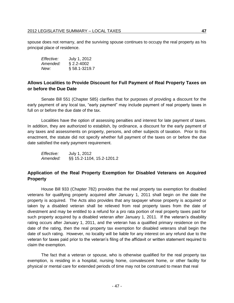spouse does not remarry, and the surviving spouse continues to occupy the real property as his principal place of residence.

| <i>Effective:</i> | July 1, 2012      |
|-------------------|-------------------|
| Amended:          | $\S 2.2 - 4002$   |
| New:              | $§ 58.1 - 3219.7$ |

## **Allows Localities to Provide Discount for Full Payment of Real Property Taxes on or before the Due Date**

Senate Bill 551 (Chapter 585) clarifies that for purposes of providing a discount for the early payment of any local tax, "early payment" may include payment of real property taxes in full on or before the due date of the tax.

Localities have the option of assessing penalties and interest for late payment of taxes. In addition, they are authorized to establish, by ordinance, a discount for the early payment of any taxes and assessments on property, persons, and other subjects of taxation. Prior to this enactment, the statute did not specify whether full payment of the taxes on or before the due date satisfied the early payment requirement.

| Effective: | July 1, 2012              |
|------------|---------------------------|
| Amended:   | §§ 15.2-1104, 15.2-1201.2 |

## **Application of the Real Property Exemption for Disabled Veterans on Acquired Property**

House Bill 933 (Chapter 782) provides that the real property tax exemption for disabled veterans for qualifying property acquired after January 1, 2011 shall begin on the date the property is acquired. The Acts also provides that any taxpayer whose property is acquired or taken by a disabled veteran shall be relieved from real property taxes from the date of divestment and may be entitled to a refund for a pro rata portion of real property taxes paid for such property acquired by a disabled veteran after January 1, 2011. If the veteran's disability rating occurs after January 1, 2011, and the veteran has a qualified primary residence on the date of the rating, then the real property tax exemption for disabled veterans shall begin the date of such rating. However, no locality will be liable for any interest on any refund due to the veteran for taxes paid prior to the veteran's filing of the affidavit or written statement required to claim the exemption.

The fact that a veteran or spouse, who is otherwise qualified for the real property tax exemption, is residing in a hospital, nursing home, convalescent home, or other facility for physical or mental care for extended periods of time may not be construed to mean that real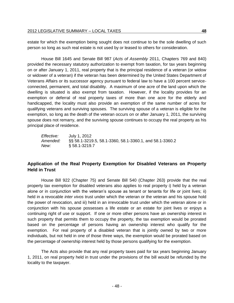estate for which the exemption being sought does not continue to be the sole dwelling of such person so long as such real estate is not used by or leased to others for consideration.

House Bill 1645 and Senate Bill 987 (*Acts of Assembly* 2011, Chapters 769 and 840) provided the necessary statutory authorization to exempt from taxation, for tax years beginning on or after January 1, 2011, real property that is the principal residence of a veteran (or widow or widower of a veteran) if the veteran has been determined by the United States Department of Veterans Affairs or its successor agency pursuant to federal law to have a 100 percent serviceconnected, permanent, and total disability. A maximum of one acre of the land upon which the dwelling is situated is also exempt from taxation. However, if the locality provides for an exemption or deferral of real property taxes of more than one acre for the elderly and handicapped, the locality must also provide an exemption of the same number of acres for qualifying veterans and surviving spouses. The surviving spouse of a veteran is eligible for the exemption, so long as the death of the veteran occurs on or after January 1, 2011, the surviving spouse does not remarry, and the surviving spouse continues to occupy the real property as his principal place of residence.

*Effective:* July 1, 2012 *Amended:* §§ 58.1-3219.5, 58.1-3360, 58.1-3360.1, and 58.1-3360.2 *New:* § 58.1-3219.7

## **Application of the Real Property Exemption for Disabled Veterans on Property Held in Trust**

House Bill 922 (Chapter 75) and Senate Bill 540 (Chapter 263) provide that the real property tax exemption for disabled veterans also applies to real property i) held by a veteran alone or in conjunction with the veteran's spouse as tenant or tenants for life or joint lives; ii) held in a revocable *inter vivos* trust under which the veteran or the veteran and his spouse hold the power of revocation, and iii) held in an irrevocable trust under which the veteran alone or in conjunction with his spouse possesses a life estate or an estate for joint lives or enjoys a continuing right of use or support. If one or more other persons have an ownership interest in such property that permits them to occupy the property, the tax exemption would be prorated based on the percentage of persons having an ownership interest who qualify for the exemption. For real property of a disabled veteran that is jointly owned by two or more individuals, but not held in one of those three ways, the exemption would be prorated based on the percentage of ownership interest held by those persons qualifying for the exemption.

The Acts also provide that any real property taxes paid for tax years beginning January 1, 2011, on real property held in trust under the provisions of the bill would be refunded by the locality to the taxpayer.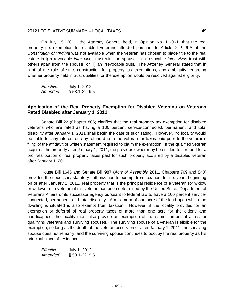#### 2012 LEGISLATIVE SUMMARY – LOCAL TAXES **49**

On July 15, 2011, the Attorney General held, in Opinion No. 11-061, that the real property tax exemption for disabled veterans afforded pursuant to Article X, § 6-A of the *Constitution of Virginia* was not available when the veteran has chosen to place title to the real estate in i) a revocable *inter vivos* trust with the spouse; ii) a revocable *inter vivos* trust with others apart from the spouse; or iii) an irrevocable trust. The Attorney General stated that in light of the rule of strict construction for property tax exemptions, any ambiguity regarding whether property held in trust qualifies for the exemption would be resolved against eligibility.

*Effective:* July 1, 2012 *Amended:* § 58.1-3219.5

#### **Application of the Real Property Exemption for Disabled Veterans on Veterans Rated Disabled after January 1, 2011**

Senate Bill 22 (Chapter 806) clarifies that the real property tax exemption for disabled veterans who are rated as having a 100 percent service-connected, permanent, and total disability after January 1, 2011 shall begin the date of such rating. However, no locality would be liable for any interest on any refund due to the veteran for taxes paid prior to the veteran's filing of the affidavit or written statement required to claim the exemption. If the qualified veteran acquires the property after January 1, 2011, the previous owner may be entitled to a refund for a pro rata portion of real property taxes paid for such property acquired by a disabled veteran after January 1, 2011.

House Bill 1645 and Senate Bill 987 (*Acts of Assembly* 2011, Chapters 769 and 840) provided the necessary statutory authorization to exempt from taxation, for tax years beginning on or after January 1, 2011, real property that is the principal residence of a veteran (or widow or widower of a veteran) if the veteran has been determined by the United States Department of Veterans Affairs or its successor agency pursuant to federal law to have a 100 percent serviceconnected, permanent, and total disability. A maximum of one acre of the land upon which the dwelling is situated is also exempt from taxation. However, if the locality provides for an exemption or deferral of real property taxes of more than one acre for the elderly and handicapped, the locality must also provide an exemption of the same number of acres for qualifying veterans and surviving spouses. The surviving spouse of a veteran is eligible for the exemption, so long as the death of the veteran occurs on or after January 1, 2011, the surviving spouse does not remarry, and the surviving spouse continues to occupy the real property as his principal place of residence.

*Effective:* July 1, 2012 *Amended:* § 58.1-3219.5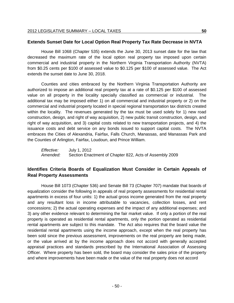#### **Extends Sunset Date for Local Option Real Property Tax Rate Decrease in NVTA**

House Bill 1068 (Chapter 535) extends the June 30, 2013 sunset date for the law that decreased the maximum rate of the local option real property tax imposed upon certain commercial and industrial property in the Northern Virginia Transportation Authority (NVTA) from \$0.25 cents per \$100 of assessed value to \$0.125 per \$100 of assessed value. The Act extends the sunset date to June 30, 2018.

Counties and cities embraced by the Northern Virginia Transportation Authority are authorized to impose an additional real property tax at a rate of \$0.125 per \$100 of assessed value on all property in the locality specially classified as commercial or industrial. The additional tax may be imposed either 1) on all commercial and industrial property or 2) on the commercial and industrial property located in special regional transportation tax districts created within the locality. The revenues generated by the tax must be used solely for 1) new road construction, design, and right of way acquisition, 2) new public transit construction, design, and right of way acquisition, and 3) capital costs related to new transportation projects, and 4) the issuance costs and debt service on any bonds issued to support capital costs. The NVTA embraces the Cities of Alexandria, Fairfax, Falls Church, Manassas, and Manassas Park and the Counties of Arlington, Fairfax, Loudoun, and Prince William.

*Effective:* July 1, 2012 *Amended:* Section Enactment of Chapter 822, Acts of Assembly 2009

# **Identifies Criteria Boards of Equalization Must Consider in Certain Appeals of Real Property Assessments**

House Bill 1073 (Chapter 536) and Senate Bill 73 (Chapter 707) mandate that boards of equalization consider the following in appeals of real property assessments for residential rental apartments in excess of four units: 1) the actual gross income generated from the real property and any resultant loss in income attributable to vacancies, collection losses, and rent concessions; 2) the actual operating expenses and the impact of any additional expenses; and 3) any other evidence relevant to determining the fair market value. If only a portion of the real property is operated as residential rental apartments, only the portion operated as residential rental apartments are subject to this mandate. The Act also requires that the board value the residential rental apartments using the income approach, except when the real property has been sold since the previous assessment, improvements on the real property are being made, or the value arrived at by the income approach does not accord with generally accepted appraisal practices and standards prescribed by the International Association of Assessing Officer. Where property has been sold, the board may consider the sales price of the property and where improvements have been made or the value of the real property does not accord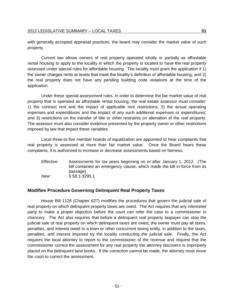with generally accepted appraisal practices, the board may consider the market value of such property.

Current law allows owners of real property operated wholly or partially as affordable rental housing to apply to the locality in which the property is located to have the real property assessed under special rules for affordable housing. The locality must grant the application if 1) the owner charges rents at levels that meet the locality's definition of affordable housing, and 2) the real property does not have any pending building code violations at the time of the application.

Under these special assessment rules, in order to determine the fair market value of real property that is operated as affordable rental housing, the real estate assessor must consider: 1) the contract rent and the impact of applicable rent restrictions; 2) the actual operating expenses and expenditures and the impact of any such additional expenses or expenditures; and 3) restrictions on the transfer of title or other restraints on alienation of the real property. The assessor must also consider evidence presented by the property owner or other restrictions imposed by law that impact these variables.

Local three-to-five member boards of equalization are appointed to hear complaints that real property is assessed at more than fair market value. Once the Board hears these complaints, it is authorized to increase or decrease assessments based on fairness.

*Effective:* Assessments for tax years beginning on or after January 1, 2012. (The bill contained an emergency clause, which made the bill in force from its passage) *New:* § 58.1-3295.1

## **Modifies Procedure Governing Delinquent Real Property Taxes**

House Bill 1128 (Chapter 627) modifies the procedures that govern the judicial sale of real property on which delinquent property taxes are owed. The Act requires that any interested party to make a proper objection before the court can refer the case to a commissioner in chancery. The Act also requires that before a delinquent real property taxpayer can stop the judicial sale of real property on which delinquent taxes are owed, the owner must pay all taxes, penalties, and interest owed to a town or other concurrent taxing entity, in addition to the taxes, penalties, and interest imposed by the locality conducting the judicial sale. Finally, the Act requires the local attorney to report to the commissioner of the revenue and request that the commissioner correct the assessment for any real property the attorney discovers is improperly placed on the delinquent land books. If the correction cannot be made, the attorney must move the court to correct the assessment.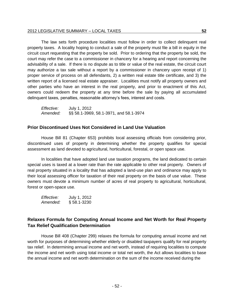#### 2012 LEGISLATIVE SUMMARY – LOCAL TAXES **52**

The law sets forth procedure localities must follow in order to collect delinquent real property taxes. A locality hoping to conduct a sale of the property must file a bill in equity in the circuit court requesting that the property be sold. Prior to ordering that the property be sold, the court may refer the case to a commissioner in chancery for a hearing and report concerning the advisability of a sale. If there is no dispute as to title or value of the real estate, the circuit court may authorize a tax sale without a report by a commissioner in chancery upon receipt of 1) proper service of process on all defendants, 2) a written real estate title certificate, and 3) the written report of a licensed real estate appraiser. Localities must notify all property owners and other parties who have an interest in the real property, and prior to enactment of this Act, owners could redeem the property at any time before the sale by paying all accumulated delinquent taxes, penalties, reasonable attorney's fees, interest and costs.

*Effective:* July 1, 2012 *Amended:* §§ 58.1-3969, 58.1-3971, and 58.1-3974

#### **Prior Discontinued Uses Not Considered in Land Use Valuation**

House Bill 81 (Chapter 653) prohibits local assessing officials from considering prior, discontinued uses of property in determining whether the property qualifies for special assessment as land devoted to agricultural, horticultural, forestal, or open space use.

In localities that have adopted land use taxation programs, the land dedicated to certain special uses is taxed at a lower rate than the rate applicable to other real property. Owners of real property situated in a locality that has adopted a land-use plan and ordinance may apply to their local assessing officer for taxation of their real property on the basis of use value. These owners must devote a minimum number of acres of real property to agricultural, horticultural, forest or open-space use.

| <i>Effective:</i> | July 1, 2012    |
|-------------------|-----------------|
| Amended:          | $§ 58.1 - 3230$ |

# **Relaxes Formula for Computing Annual Income and Net Worth for Real Property Tax Relief Qualification Determination**

House Bill 408 (Chapter 299) relaxes the formula for computing annual income and net worth for purposes of determining whether elderly or disabled taxpayers qualify for real property tax relief. In determining annual income and net worth, instead of requiring localities to compute the income and net worth using total income or total net worth, the Act allows localities to base the annual income and net worth determination on the sum of the income received during the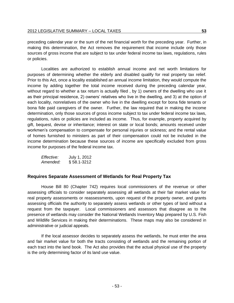preceding calendar year or the sum of the net financial worth for the preceding year. Further, in making this determination, the Act removes the requirement that income include only those sources of gross income that are subject to tax under federal income tax laws, regulations, rules or policies.

Localities are authorized to establish annual income and net worth limitations for purposes of determining whether the elderly and disabled qualify for real property tax relief. Prior to this Act, once a locality established an annual income limitation, they would compute the income by adding together the total income received during the preceding calendar year, without regard to whether a tax return is actually filed, by 1) owners of the dwelling who use it as their principal residence, 2) owners' relatives who live in the dwelling, and 3) at the option of each locality, nonrelatives of the owner who live in the dwelling except for bona fide tenants or bona fide paid caregivers of the owner. Further, the law required that in making the income determination, only those sources of gross income subject to tax under federal income tax laws, regulations, rules or policies are included as income. Thus, for example, property acquired by gift, bequest, devise or inheritance; interest on state or local bonds; amounts received under workmen's compensation to compensate for personal injuries or sickness; and the rental value of homes furnished to ministers as part of their compensation could not be included in the income determination because these sources of income are specifically excluded from gross income for purposes of the federal income tax.

| <i>Effective:</i> | July 1, 2012    |
|-------------------|-----------------|
| Amended:          | $§ 58.1 - 3212$ |

## **Requires Separate Assessment of Wetlands for Real Property Tax**

House Bill 80 (Chapter 742) requires local commissioners of the revenue or other assessing officials to consider separately assessing all wetlands at their fair market value for real property assessments or reassessments, upon request of the property owner, and grants assessing officials the authority to separately assess wetlands or other types of land without a request from the taxpayer. Local commissioners and assessors that disagree as to the presence of wetlands may consider the National Wetlands Inventory Map prepared by U.S. Fish and Wildlife Services in making their determinations. These maps may also be considered in administrative or judicial appeals.

If the local assessor decides to separately assess the wetlands, he must enter the area and fair market value for both the tracts consisting of wetlands and the remaining portion of each tract into the land book. The Act also provides that the actual physical use of the property is the only determining factor of its land use value.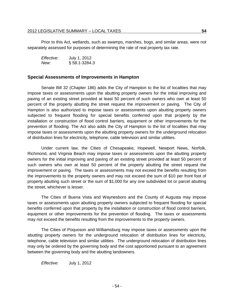Prior to this Act, wetlands, such as swamps, marshes, bogs, and similar areas, were not separately assessed for purposes of determining the rate of real property tax rate.

| <i>Effective:</i> | July 1, 2012      |
|-------------------|-------------------|
| New:              | $§ 58.1 - 3284.3$ |

#### **Special Assessments of Improvements in Hampton**

Senate Bill 32 (Chapter 186) adds the City of Hampton to the list of localities that may impose taxes or assessments upon the abutting property owners for the initial improving and paving of an existing street provided at least 50 percent of such owners who own at least 50 percent of the property abutting the street request the improvement or paving. The City of Hampton is also authorized to impose taxes or assessments upon abutting property owners subjected to frequent flooding for special benefits conferred upon that property by the installation or construction of flood control barriers, equipment or other improvements for the prevention of flooding. The Act also adds the City of Hampton to the list of localities that may impose taxes or assessments upon the abutting property owners for the underground relocation of distribution lines for electricity, telephone, cable television and similar utilities.

Under current law, the Cities of Chesapeake, Hopewell, Newport News, Norfolk, Richmond, and Virginia Beach may impose taxes or assessments upon the abutting property owners for the initial improving and paving of an existing street provided at least 50 percent of such owners who own at least 50 percent of the property abutting the street request the improvement or paving. The taxes or assessments may not exceed the benefits resulting from the improvements to the property owners and may not exceed the sum of \$10 per front foot of property abutting such street or the sum of \$1,000 for any one subdivided lot or parcel abutting the street, whichever is lesser.

The Cities of Buena Vista and Waynesboro and the County of Augusta may impose taxes or assessments upon abutting property owners subjected to frequent flooding for special benefits conferred upon that property by the installation or construction of flood control barriers, equipment or other improvements for the prevention of flooding. The taxes or assessments may not exceed the benefits resulting from the improvements to the property owners.

The Cities of Poquoson and Williamsburg may impose taxes or assessments upon the abutting property owners for the underground relocation of distribution lines for electricity, telephone, cable television and similar utilities. The underground relocation of distribution lines may only be ordered by the governing body and the cost apportioned pursuant to an agreement between the governing body and the abutting landowners.

*Effective:* July 1, 2012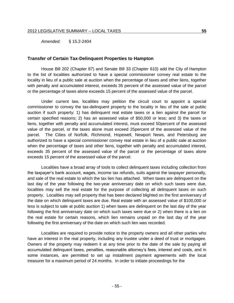*Amended:* § 15.2-2404

#### **Transfer of Certain Tax-Delinquent Properties to Hampton**

House Bill 202 (Chapter 87) and Senate Bill 33 (Chapter 610) add the City of Hampton to the list of localities authorized to have a special commissioner convey real estate to the locality in lieu of a public sale at auction when the percentage of taxes and other liens, together with penalty and accumulated interest, exceeds 35 percent of the assessed value of the parcel or the percentage of taxes alone exceeds 15 percent of the assessed value of the parcel.

Under current law, localities may petition the circuit court to appoint a special commissioner to convey the tax-delinquent property to the locality in lieu of the sale at public auction if such property: 1) has delinquent real estate taxes or a lien against the parcel for certain specified reasons; 2) has an assessed value of \$50,000 or less; and 3) the taxes or liens, together with penalty and accumulated interest, must exceed 50percent of the assessed value of the parcel, or the taxes alone must exceed 25percent of the assessed value of the parcel. The Cities of Norfolk, Richmond, Hopewell, Newport News, and Petersburg are authorized to have a special commissioner convey real estate in lieu of a public sale at auction when the percentage of taxes and other liens, together with penalty and accumulated interest, exceeds 35 percent of the assessed value of the parcel or the percentage of taxes alone exceeds 15 percent of the assessed value of the parcel.

Localities have a broad array of tools to collect delinquent taxes including collection from the taxpayer's bank account, wages, income tax refunds, suits against the taxpayer personally, and sale of the real estate to which the tax lien has attached. When taxes are delinquent on the last day of the year following the two-year anniversary date on which such taxes were due, localities may sell the real estate for the purpose of collecting all delinquent taxes on such property. Localities may sell property that has been declared blighted on the first anniversary of the date on which delinquent taxes are due. Real estate with an assessed value of \$100,000 or less is subject to sale at public auction 1) when taxes are delinquent on the last day of the year following the first anniversary date on which such taxes were due or 2) when there is a lien on the real estate for certain reasons, which lien remains unpaid on the last day of the year following the first anniversary of the date on which such lien was recorded.

Localities are required to provide notice to the property owners and all other parties who have an interest in the real property, including any trustee under a deed of trust or mortgagee. Owners of the property may redeem it at any time prior to the date of the sale by paying all accumulated delinquent taxes, penalties, reasonable attorney's fees, interest and costs, and in some instances, are permitted to set up installment payment agreements with the local treasurer for a maximum period of 24 months. In order to initiate proceedings for the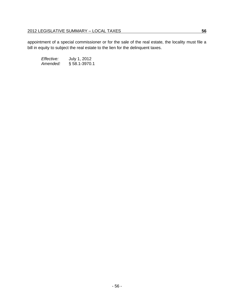appointment of a special commissioner or for the sale of the real estate, the locality must file a bill in equity to subject the real estate to the lien for the delinquent taxes.

*Effective:* July 1, 2012 *Amended:* § 58.1-3970.1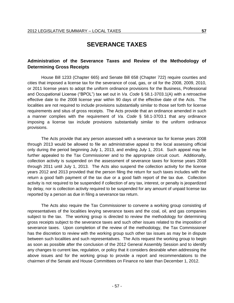# **SEVERANCE TAXES**

# **Administration of the Severance Taxes and Review of the Methodology of Determining Gross Receipts**

House Bill 1233 (Chapter 665) and Senate Bill 658 (Chapter 722) require counties and cities that imposed a license tax for the severance of coal, gas, or oil for the 2008, 2009, 2010, or 2011 license years to adopt the uniform ordinance provisions for the Business, Professional and Occupational License ("BPOL") tax set out in *Va. Code* § 58.1-3703.1(A) with a retroactive effective date to the 2008 license year within 90 days of the effective date of the Acts. The localities are not required to include provisions substantially similar to those set forth for license requirements and situs of gross receipts. The Acts provide that an ordinance amended in such a manner complies with the requirement of *Va. Code* § 58.1-3703.1 that any ordinance imposing a license tax include provisions substantially similar to the uniform ordinance provisions.

The Acts provide that any person assessed with a severance tax for license years 2008 through 2013 would be allowed to file an administrative appeal to the local assessing official only during the period beginning July 1, 2013, and ending July 1, 2014. Such appeal may be further appealed to the Tax Commissioner and to the appropriate circuit court. Additionally, collection activity is suspended on the assessment of severance taxes for license years 2008 through 2011 until July 1, 2013. The Acts also suspend the collection activity for the license years 2012 and 2013 provided that the person filing the return for such taxes includes with the return a good faith payment of the tax due or a good faith report of the tax due. Collection activity is not required to be suspended if collection of any tax, interest, or penalty is jeopardized by delay, nor is collection activity required to be suspended for any amount of unpaid license tax reported by a person as due in filing a severance tax return.

The Acts also require the Tax Commissioner to convene a working group consisting of representatives of the localities levying severance taxes and the coal, oil, and gas companies subject to the tax. The working group is directed to review the methodology for determining gross receipts subject to the severance taxes and such other issues related to the imposition of severance taxes. Upon completion of the review of the methodology, the Tax Commissioner has the discretion to review with the working group such other tax issues as may be in dispute between such localities and such representatives. The Acts request the working group to begin as soon as possible after the conclusion of the 2012 General Assembly Session and to identify any changes to current law, regulation, or policy that it considers desirable when addressing the above issues and for the working group to provide a report and recommendations to the chairmen of the Senate and House Committees on Finance no later than December 1, 2012.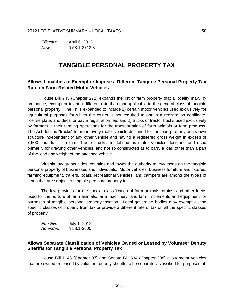| <i>Effective:</i> | April 6, 2012     |
|-------------------|-------------------|
| New:              | $§ 58.1 - 3713.3$ |

# **TANGIBLE PERSONAL PROPERTY TAX**

# **Allows Localities to Exempt or Impose a Different Tangible Personal Property Tax Rate on Farm-Related Motor Vehicles**

House Bill 743 (Chapter 272) expands the list of farm property that a locality may, by ordinance, exempt or tax at a different rate than that applicable to the general class of tangible personal property. The list is expanded to include 1) certain motor vehicles used exclusively for agricultural purposes for which the owner is not required to obtain a registration certificate, license plate, and decal or pay a registration fee; and 2) trucks or tractor trucks used exclusively by farmers in their farming operations for the transportation of farm animals or farm products. The Act defines "trucks" to mean every motor vehicle designed to transport property on its own structure independent of any other vehicle and having a registered gross weight in excess of 7,500 pounds. The term "tractor trucks" is defined as motor vehicles designed and used primarily for drawing other vehicles, and not so constructed as to carry a load other than a part of the load and weight of the attached vehicle.

Virginia law grants cities, counties and towns the authority to levy taxes on the tangible personal property of businesses and individuals. Motor vehicles, business furniture and fixtures, farming equipment, trailers, boats, recreational vehicles, and campers are among the types of items that are subject to tangible personal property tax.

The law provides for the special classification of farm animals, grains, and other feeds used for the nurture of farm animals, farm machinery, and farm implements and equipment for purposes of tangible personal property taxation. Local governing bodies may exempt all the specific classes of property from tax or provide a different rate of tax on all the specific classes of property.

| Effective: | July 1, 2012    |
|------------|-----------------|
| Amended:   | $§ 58.1 - 3505$ |

#### **Allows Separate Classification of Vehicles Owned or Leased by Volunteer Deputy Sheriffs for Tangible Personal Property Tax**

House Bill 1148 (Chapter 97) and Senate Bill 534 (Chapter 288) allow motor vehicles that are owned or leased by volunteer deputy sheriffs to be separately classified for purposes of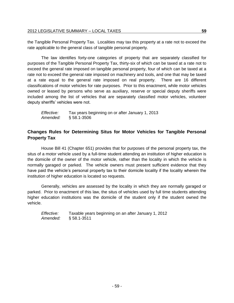the Tangible Personal Property Tax. Localities may tax this property at a rate not to exceed the rate applicable to the general class of tangible personal property.

The law identifies forty-one categories of property that are separately classified for purposes of the Tangible Personal Property Tax, thirty-six of which can be taxed at a rate not to exceed the general rate imposed on tangible personal property, four of which can be taxed at a rate not to exceed the general rate imposed on machinery and tools, and one that may be taxed at a rate equal to the general rate imposed on real property. There are 16 different classifications of motor vehicles for rate purposes. Prior to this enactment, while motor vehicles owned or leased by persons who serve as auxiliary, reserve or special deputy sheriffs were included among the list of vehicles that are separately classified motor vehicles, volunteer deputy sheriffs' vehicles were not.

| Effective: | Tax years beginning on or after January 1, 2013 |
|------------|-------------------------------------------------|
| Amended:   | § 58.1-3506                                     |

# **Changes Rules for Determining Situs for Motor Vehicles for Tangible Personal Property Tax**

House Bill 41 (Chapter 651) provides that for purposes of the personal property tax, the situs of a motor vehicle used by a full-time student attending an institution of higher education is the domicile of the owner of the motor vehicle, rather than the locality in which the vehicle is normally garaged or parked. The vehicle owners must present sufficient evidence that they have paid the vehicle's personal property tax to their domicile locality if the locality wherein the institution of higher education is located so requests.

Generally, vehicles are assessed by the locality in which they are normally garaged or parked. Prior to enactment of this law, the situs of vehicles used by full time students attending higher education institutions was the domicile of the student only if the student owned the vehicle.

*Effective:* Taxable years beginning on an after January 1, 2012 *Amended:* § 58.1-3511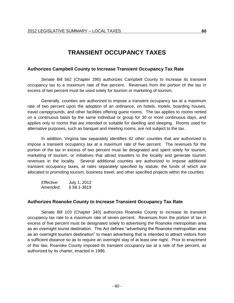# **TRANSIENT OCCUPANCY TAXES**

#### **Authorizes Campbell County to Increase Transient Occupancy Tax Rate**

Senate Bill 562 (Chapter 290) authorizes Campbell County to increase its transient occupancy tax to a maximum rate of five percent. Revenues from the portion of the tax in excess of two percent must be used solely for tourism or marketing of tourism.

Generally, counties are authorized to impose a transient occupancy tax at a maximum rate of two percent upon the adoption of an ordinance, on hotels, motels, boarding houses, travel campgrounds, and other facilities offering guest rooms. The tax applies to rooms rented on a continuous basis by the same individual or group for 30 or more continuous days, and applies only to rooms that are intended or suitable for dwelling and sleeping. Rooms used for alternative purposes, such as banquet and meeting rooms, are not subject to the tax.

In addition, Virginia law separately identifies 42 other counties that are authorized to impose a transient occupancy tax at a maximum rate of five percent. The revenues for the portion of the tax in excess of two percent must be designated and spent solely for tourism, marketing of tourism, or initiatives that attract travelers to the locality and generate tourism revenues in the locality. Several additional counties are authorized to impose additional transient occupancy taxes, at rates separately specified by statute, the funds of which are allocated to promoting tourism, business travel, and other specified projects within the counties.

| <i>Effective:</i> | July 1, 2012    |
|-------------------|-----------------|
| Amended:          | $§ 58.1 - 3819$ |

## **Authorizes Roanoke County to Increase Transient Occupancy Tax Rate**

Senate Bill 103 (Chapter 340) authorizes Roanoke County to increase its transient occupancy tax rate to a maximum rate of seven percent. Revenues from the portion of tax in excess of five percent must be designated solely to advertising the Roanoke metropolitan area as an overnight tourist destination. The Act defines "advertising the Roanoke metropolitan area as an overnight tourism destination" to mean advertising that is intended to attract visitors from a sufficient distance so as to require an overnight stay of at least one night. Prior to enactment of this law, Roanoke County imposed its transient occupancy tax at a rate of five percent, as authorized by its charter, enacted in 1986.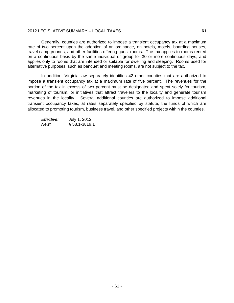#### 2012 LEGISLATIVE SUMMARY – LOCAL TAXES **61**

Generally, counties are authorized to impose a transient occupancy tax at a maximum rate of two percent upon the adoption of an ordinance, on hotels, motels, boarding houses, travel campgrounds, and other facilities offering guest rooms. The tax applies to rooms rented on a continuous basis by the same individual or group for 30 or more continuous days, and applies only to rooms that are intended or suitable for dwelling and sleeping. Rooms used for alternative purposes, such as banquet and meeting rooms, are not subject to the tax.

In addition, Virginia law separately identifies 42 other counties that are authorized to impose a transient occupancy tax at a maximum rate of five percent. The revenues for the portion of the tax in excess of two percent must be designated and spent solely for tourism, marketing of tourism, or initiatives that attract travelers to the locality and generate tourism revenues in the locality. Several additional counties are authorized to impose additional transient occupancy taxes, at rates separately specified by statute, the funds of which are allocated to promoting tourism, business travel, and other specified projects within the counties.

*Effective:* July 1, 2012 *New:* § 58.1-3819.1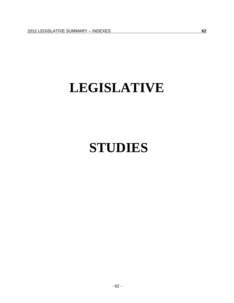# **LEGISLATIVE**

# **STUDIES**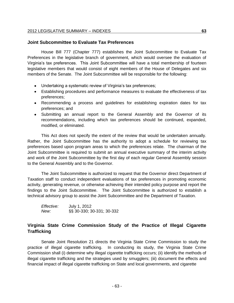#### **Joint Subcommittee to Evaluate Tax Preferences**

House Bill 777 (Chapter 777) establishes the Joint Subcommittee to Evaluate Tax Preferences in the legislative branch of government, which would oversee the evaluation of Virginia's tax preferences. This Joint Subcommittee will have a total membership of fourteen legislative members that would consist of eight members of the House of Delegates and six members of the Senate. The Joint Subcommittee will be responsible for the following:

- Undertaking a systematic review of Virginia's tax preferences;
- Establishing procedures and performance measures to evaluate the effectiveness of tax preferences;
- Recommending a process and guidelines for establishing expiration dates for tax preferences; and
- Submitting an annual report to the General Assembly and the Governor of its recommendations, including which tax preferences should be continued, expanded, modified, or eliminated.

This Act does not specify the extent of the review that would be undertaken annually. Rather, the Joint Subcommittee has the authority to adopt a schedule for reviewing tax preferences based upon program areas to which the preferences relate. The chairman of the Joint Subcommittee is required to submit an annual executive summary of the interim activity and work of the Joint Subcommittee by the first day of each regular General Assembly session to the General Assembly and to the Governor.

The Joint Subcommittee is authorized to request that the Governor direct Department of Taxation staff to conduct independent evaluations of tax preferences in promoting economic activity, generating revenue, or otherwise achieving their intended policy purpose and report the findings to the Joint Subcommittee. The Joint Subcommittee is authorized to establish a technical advisory group to assist the Joint Subcommittee and the Department of Taxation.

| Effective: | July 1, 2012              |
|------------|---------------------------|
| New:       | §§ 30-330; 30-331; 30-332 |

# **Virginia State Crime Commission Study of the Practice of Illegal Cigarette Trafficking**

Senate Joint Resolution 21 directs the Virginia State Crime Commission to study the practice of illegal cigarette trafficking. In conducting its study, the Virginia State Crime Commission shall (i) determine why illegal cigarette trafficking occurs; (ii) identify the methods of illegal cigarette trafficking and the strategies used by smugglers; (iii) document the effects and financial impact of illegal cigarette trafficking on State and local governments, and cigarette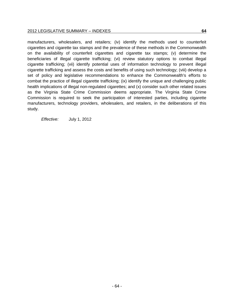manufacturers, wholesalers, and retailers; (iv) identify the methods used to counterfeit cigarettes and cigarette tax stamps and the prevalence of these methods in the Commonwealth on the availability of counterfeit cigarettes and cigarette tax stamps; (v) determine the beneficiaries of illegal cigarette trafficking; (vi) review statutory options to combat illegal cigarette trafficking; (vii) identify potential uses of information technology to prevent illegal cigarette trafficking and assess the costs and benefits of using such technology; (viii) develop a set of policy and legislative recommendations to enhance the Commonwealth's efforts to combat the practice of illegal cigarette trafficking; (ix) identify the unique and challenging public health implications of illegal non-regulated cigarettes; and (x) consider such other related issues as the Virginia State Crime Commission deems appropriate. The Virginia State Crime Commission is required to seek the participation of interested parties, including cigarette manufacturers, technology providers, wholesalers, and retailers, in the deliberations of this study.

*Effective:* July 1, 2012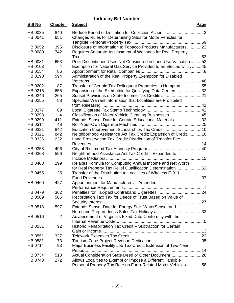# **Index by Bill Number**

| <b>Bill No</b> | <b>Chapter</b> | <b>Subject</b>                                                      | Page |
|----------------|----------------|---------------------------------------------------------------------|------|
| HB 0035        | 840            |                                                                     |      |
| HB 0041        | 651            | Changes Rules for Determining Situs for Motor Vehicles for          |      |
|                |                |                                                                     |      |
| <b>HB 0052</b> | 395            | Disclosure of Information to Tobacco Products Manufacturers23       |      |
| <b>HB 0080</b> | 742            | Requires Separate Assessment of Wetlands for Real Property          |      |
|                |                |                                                                     |      |
| HB 0081        | 653            | Prior Discontinued Uses Not Considered in Land Use Valuation 52     |      |
| HB 0103        | 4              | Exemption for Natural Gas Service Provided to an Electric Utility45 |      |
| <b>HB 0154</b> | 86             |                                                                     |      |
| <b>HB 0190</b> | 594            | Administration of the Real Property Exemption for Disabled          |      |
| HB 0202        | 87             | Transfer of Certain Tax-Delinquent Properties to Hampton 55         |      |
| HB 0216        | 655            | Expansion of the Exemption for Qualifying Data Centers32            |      |
| HB 0246        | 265            |                                                                     |      |
| HB 0255        | 88             | Specifies Warrant Information that Localities are Prohibited        |      |
|                |                |                                                                     |      |
| HB 0277        | 89             |                                                                     |      |
| HB 0298        | 4              | Classification of Motor Vehicle Cleaning Businesses45               |      |
| HB 0299        | 411            | Extends Sunset Date for Certain Educational Materials32             |      |
| HB 0314        | 48             |                                                                     |      |
| HB 0321        | 842            |                                                                     |      |
| HB 0321        | 842            | Neighborhood Assistance Act Tax Credit: Expansion of Credit16       |      |
| HB 0336        | 232            | Land Preservation Tax Credit: Distribution of Transfer Fee          |      |
|                |                | Revenues                                                            |      |
| HB 0358        | 496            |                                                                     |      |
| HB 0368        | 596            | Neighborhood Assistance Act Tax Credit - Expanded to                |      |
| <b>HB 0408</b> | 299            | Relaxes Formula for Computing Annual Income and Net Worth           |      |
|                |                | for Real Property Tax Relief Qualification Determination 52         |      |
| <b>HB 0455</b> | 25             | Transfer of the Distribution to Localities of Wireless E-911        |      |
|                |                |                                                                     |      |
| <b>HB 0460</b> | 427            | Apportionment for Manufacturers - Amended                           |      |
|                |                |                                                                     |      |
| <b>HB 0479</b> | 362            |                                                                     |      |
| <b>HB 0509</b> | 505            | Recordation Tax: Tax for Deeds of Trust Based on Value of           |      |
|                |                |                                                                     |      |
| HB 0513        | 597            | Extends Sunset Date for Energy Star, WaterSense, and                |      |
|                |                |                                                                     |      |
| HB 0516        | $\overline{2}$ | Advancement of Virginia's Fixed Date Conformity with the            |      |
|                |                |                                                                     |      |
| HB 0531        | 92             | Historic Rehabilitation Tax Credit - Subtraction for Certain        |      |
|                |                |                                                                     |      |
| HB 0551        | 327            |                                                                     |      |
| <b>HB 0581</b> | 73             |                                                                     |      |
| <b>HB 0714</b> | 93             | Major Business Facility Job Tax Credit: Extension of Two-Year       |      |
|                |                |                                                                     |      |
| HB 0734        | 513            | Actual Consideration State Deed or Other Document26                 |      |
| HB 0743        | 272            | Allows Localities to Exempt or Impose a Different Tangible          |      |
|                |                | Personal Property Tax Rate on Farm-Related Motor Vehicles58         |      |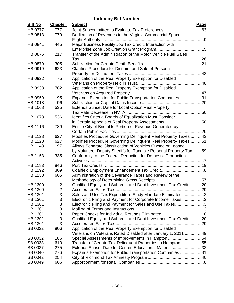# **Index by Bill Number**

| <b>Bill No</b> | <b>Chapter</b> | <b>Subject</b>                                                                                                               | <b>Page</b> |
|----------------|----------------|------------------------------------------------------------------------------------------------------------------------------|-------------|
| <b>HB 0777</b> | 777            |                                                                                                                              |             |
| HB 0813        | 779            | Dedication of Revenues to the Virginia Commercial Space                                                                      |             |
|                |                |                                                                                                                              |             |
| HB 0841        | 445            | Major Business Facility Job Tax Credit: Interaction with                                                                     |             |
|                |                |                                                                                                                              |             |
| <b>HB 0876</b> | 217            | Transfer of the Administration of the Motor Vehicle Fuel Sales                                                               |             |
|                |                |                                                                                                                              |             |
| HB 0879        | 305            |                                                                                                                              |             |
| HB 0919        | 623            | Clarifies Procedure for Distraint and Sale of Personal                                                                       |             |
|                |                |                                                                                                                              |             |
| HB 0922        | 75             | Application of the Real Property Exemption for Disabled                                                                      |             |
|                |                |                                                                                                                              |             |
| HB 0933        | 782            | Application of the Real Property Exemption for Disabled                                                                      |             |
|                |                |                                                                                                                              |             |
| HB 0959        | 95             | Expands Exemption for Public Transportation Companies 31                                                                     |             |
| HB 1013        | 96             |                                                                                                                              |             |
| HB 1068        | 535            | Extends Sunset Date for Local Option Real Property                                                                           |             |
|                |                |                                                                                                                              |             |
| <b>HB 1073</b> | 536            | Identifies Criteria Boards of Equalization Must Consider                                                                     |             |
|                |                | in Certain Appeals of Real Property Assessments50                                                                            |             |
| <b>HB 1116</b> | 789            | Entitle City of Bristol to Portion of Revenue Generated by                                                                   |             |
| HB 1128        | 627            | Modifies Procedure Governing Delinquent Real Property Taxes 43                                                               |             |
| <b>HB 1128</b> | 627            |                                                                                                                              |             |
| <b>HB 1148</b> | 97             | Modifies Procedure Governing Delinquent Real Property Taxes 51<br>Allows Separate Classification of Vehicles Owned or Leased |             |
|                |                | by Volunteer Deputy Sheriffs for Tangible Personal Property Tax 59                                                           |             |
| HB 1153        | 335            | Conformity to the Federal Deduction for Domestic Production                                                                  |             |
|                |                |                                                                                                                              |             |
| HB 1183        | 846            |                                                                                                                              |             |
| HB 1192        | 309            |                                                                                                                              |             |
| HB 1233        | 665            | Administration of the Severance Taxes and Review of the                                                                      |             |
|                |                |                                                                                                                              |             |
| HB 1300        | 2              | Qualified Equity and Subordinated Debt Investment Tax Credit20                                                               |             |
| <b>HB 1300</b> | $\overline{2}$ |                                                                                                                              |             |
| HB 1301        | 3              | Sales and Use Tax Expenditure Study Mandate Eliminated 2                                                                     |             |
| HB 1301        | 3              | Electronic Filing and Payment for Corporate Income Taxes 2                                                                   |             |
| <b>HB 1301</b> | 3              | Electronic Filing and Payment for Sales and Use Taxes3                                                                       |             |
| HB 1301        | 3              |                                                                                                                              |             |
| HB 1301        | 3              | Paper Checks for Individual Refunds Eliminated 18                                                                            |             |
| <b>HB 1301</b> | 3              | Qualified Equity and Subordinated Debt Investment Tax Credit20                                                               |             |
| <b>HB 1301</b> | 3              |                                                                                                                              |             |
| SB 0022        | 806            | Application of the Real Property Exemption for Disabled                                                                      |             |
|                |                | Veterans on Veterans Rated Disabled after January 1, 2011 49                                                                 |             |
| SB 0032        | 186            | Special Assessments of Improvements in Hampton 54                                                                            |             |
| SB 0033        | 610            | Transfer of Certain Tax-Delinquent Properties to Hampton 55                                                                  |             |
| SB 0037        | 275            | Extends Sunset Date for Certain Educational Materials32                                                                      |             |
| SB 0040        | 276            | Expands Exemption for Public Transportation Companies 31                                                                     |             |
| SB 0042        | 254            |                                                                                                                              |             |
| SB 0049        | 666            |                                                                                                                              |             |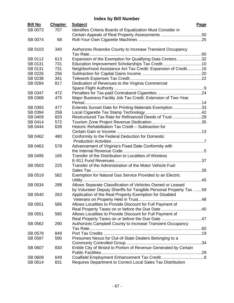# **Index by Bill Number**

| <b>Bill No</b> | <b>Chapter</b> | <b>Subject</b>                                                                                                 | Page |
|----------------|----------------|----------------------------------------------------------------------------------------------------------------|------|
| SB 0073        | 707            | Identifies Criteria Boards of Equalization Must Consider in<br>Certain Appeals of Real Property Assessments 50 |      |
| SB 0074        | 68             |                                                                                                                |      |
|                |                |                                                                                                                |      |
| SB 0103        | 340            | Authorizes Roanoke County to Increase Transient Occupancy                                                      |      |
| SB 0112        | 613            | Expansion of the Exemption for Qualifying Data Centers32                                                       |      |
| SB 0131        | 731            |                                                                                                                |      |
| SB 0131        | 731            | Neighborhood Assistance Act Tax Credit: Expansion of Credit 16                                                 |      |
| SB 0226        | 256            |                                                                                                                |      |
| SB 0238        | 341            |                                                                                                                |      |
| SB 0284        | 817            | Dedication of Revenues to the Virginia Commercial                                                              |      |
|                |                |                                                                                                                |      |
| SB 0347        | 472            |                                                                                                                |      |
| SB 0368        | 475            | Major Business Facility Job Tax Credit: Extension of Two-Year                                                  |      |
|                |                |                                                                                                                |      |
| SB 0393        | 477            | Extends Sunset Date for Printing Materials Exemption33                                                         |      |
| SB 0394        | 258            |                                                                                                                |      |
| SB 0409        | 820            | Restructured Tax Rate for Refinanced Deeds of Trust 28                                                         |      |
| SB 0414        | 572            |                                                                                                                |      |
| SB 0444        | 639            | Historic Rehabilitation Tax Credit - Subtraction for                                                           |      |
|                |                |                                                                                                                |      |
| SB 0462        | 480            | Conformity to the Federal Deduction for Domestic                                                               |      |
|                |                |                                                                                                                |      |
| SB 0463        | 578            | Advancement of Virginia's Fixed Date Conformity with                                                           |      |
|                |                |                                                                                                                |      |
| SB 0495        | 165            | Transfer of the Distribution to Localities of Wireless                                                         |      |
|                |                |                                                                                                                |      |
| SB 0503        | 225            | Transfer of the Administration of the Motor Vehicle Fuel                                                       |      |
|                |                |                                                                                                                |      |
| SB 0519        | 582            | Exemption for Natural Gas Service Provided to an Electric                                                      |      |
|                |                |                                                                                                                | . 45 |
| SB 0534        | 288            | Allows Separate Classification of Vehicles Owned or Leased                                                     |      |
|                |                | by Volunteer Deputy Sheriffs for Tangible Personal Property Tax 59                                             |      |
| SB 0540        | 263            | Application of the Real Property Exemption for Disabled                                                        |      |
|                |                |                                                                                                                |      |
| SB 0551        | 585            | Allows Localities to Provide Discount for Full Payment of                                                      |      |
|                |                |                                                                                                                |      |
| SB 0551        | 585            | Allows Localities to Provide Discount for Full Payment of                                                      |      |
|                |                | Real Property Taxes on or before the Due Date 47                                                               |      |
| SB 0562        | 290            | Authorizes Campbell County to Increase Transient Occupancy                                                     |      |
|                |                |                                                                                                                |      |
| SB 0578        | 849            |                                                                                                                |      |
| SB 0597        | 590            | Presumes Nexus for Out-of-State Dealers Belonging to a                                                         |      |
|                |                |                                                                                                                | .34  |
| SB 0607        | 830            | Entitle City of Bristol to Portion of Revenue Generated by Certain                                             |      |
|                |                |                                                                                                                |      |
| SB 0609        | 649            |                                                                                                                |      |
| SB 0614        | 831            | Requires Department to Correct Local Sales Tax Distribution                                                    |      |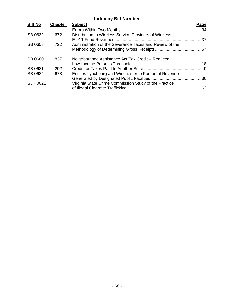## **Index by Bill Number**

| <b>Bill No</b> | <b>Chapter</b> | <b>Subject</b>                                          | <u>Page</u> |
|----------------|----------------|---------------------------------------------------------|-------------|
|                |                |                                                         |             |
| SB 0632        | 672            | Distribution to Wireless Service Providers of Wireless  |             |
|                |                |                                                         |             |
| SB 0658        | 722            | Administration of the Severance Taxes and Review of the |             |
|                |                |                                                         |             |
| SB 0680        | 837            | Neighborhood Assistance Act Tax Credit - Reduced        |             |
|                |                |                                                         |             |
| SB 0681        | 292            |                                                         |             |
| SB 0684        | 678            | Entitles Lynchburg and Winchester to Portion of Revenue |             |
|                |                |                                                         |             |
| SJR 0021       |                | Virginia State Crime Commission Study of the Practice   |             |
|                |                |                                                         |             |
|                |                |                                                         |             |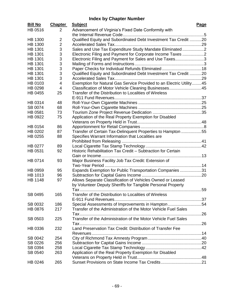| <b>Bill No</b> | <b>Chapter</b> | <b>Subject</b>                                                      | <b>Page</b> |
|----------------|----------------|---------------------------------------------------------------------|-------------|
| HB 0516        | $\overline{2}$ | Advancement of Virginia's Fixed Date Conformity with                |             |
|                |                |                                                                     |             |
| HB 1300        | 2              | Qualified Equity and Subordinated Debt Investment Tax Credit 20     |             |
| HB 1300        | $\overline{2}$ |                                                                     |             |
| HB 1301        | 3              | Sales and Use Tax Expenditure Study Mandate Eliminated2             |             |
| HB 1301        | 3              | Electronic Filing and Payment for Corporate Income Taxes 2          |             |
| HB 1301        | 3              |                                                                     |             |
|                |                | Electronic Filing and Payment for Sales and Use Taxes3              |             |
| HB 1301        | 3              |                                                                     |             |
| HB 1301        | 3              |                                                                     |             |
| HB 1301        | 3              | Qualified Equity and Subordinated Debt Investment Tax Credit 20     |             |
| HB 1301        | 3              |                                                                     |             |
| HB 0103        | 4              | Exemption for Natural Gas Service Provided to an Electric Utility45 |             |
| HB 0298        | 4              | Classification of Motor Vehicle Cleaning Businesses45               |             |
| <b>HB 0455</b> | 25             | Transfer of the Distribution to Localities of Wireless              |             |
|                |                |                                                                     |             |
| HB 0314        | 48             |                                                                     |             |
| SB 0074        | 68             |                                                                     |             |
| HB 0581        | 73             |                                                                     |             |
| HB 0922        | 75             | Application of the Real Property Exemption for Disabled             |             |
|                |                |                                                                     |             |
| <b>HB 0154</b> | 86             |                                                                     |             |
| HB 0202        | 87             | Transfer of Certain Tax-Delinquent Properties to Hampton 55         |             |
| HB 0255        | 88             | Specifies Warrant Information that Localities are                   |             |
|                |                |                                                                     |             |
| HB 0277        | 89             |                                                                     |             |
| HB 0531        | 92             | Historic Rehabilitation Tax Credit - Subtraction for Certain        |             |
|                |                |                                                                     |             |
| HB 0714        | 93             | Major Business Facility Job Tax Credit: Extension of                |             |
|                |                |                                                                     |             |
|                |                |                                                                     |             |
| HB 0959        | 95             | Expands Exemption for Public Transportation Companies 31            |             |
| HB 1013        | 96             |                                                                     |             |
| <b>HB 1148</b> | 97             | Allows Separate Classification of Vehicles Owned or Leased          |             |
|                |                | by Volunteer Deputy Sheriffs for Tangible Personal Property         |             |
|                |                |                                                                     |             |
| SB 0495        | 165            | Transfer of the Distribution to Localities of Wireless              |             |
|                |                |                                                                     |             |
| SB 0032        | 186            | Special Assessments of Improvements in Hampton 54                   |             |
| <b>HB 0876</b> | 217            | Transfer of the Administration of the Motor Vehicle Fuel Sales      |             |
|                |                |                                                                     |             |
| SB 0503        | 225            | Transfer of the Administration of the Motor Vehicle Fuel Sales      |             |
|                |                |                                                                     |             |
| HB 0336        | 232            | Land Preservation Tax Credit: Distribution of Transfer Fee          |             |
|                |                |                                                                     |             |
| SB 0042        | 254            |                                                                     |             |
| SB 0226        | 256            |                                                                     |             |
| SB 0394        | 258            |                                                                     |             |
| SB 0540        | 263            |                                                                     |             |
|                |                | Application of the Real Property Exemption for Disabled             |             |
|                |                |                                                                     |             |
| HB 0246        | 265            |                                                                     |             |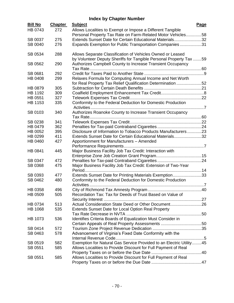| <u>Bill No</u> | <b>Chapter</b> | <b>Subject</b>                                                                                                                   | <b>Page</b> |
|----------------|----------------|----------------------------------------------------------------------------------------------------------------------------------|-------------|
| HB 0743        | 272            | Allows Localities to Exempt or Impose a Different Tangible<br>Personal Property Tax Rate on Farm-Related Motor Vehicles58        |             |
| SB 0037        | 275            | Extends Sunset Date for Certain Educational Materials32                                                                          |             |
| SB 0040        | 276            | Expands Exemption for Public Transportation Companies 31                                                                         |             |
| SB 0534        | 288            | Allows Separate Classification of Vehicles Owned or Leased<br>by Volunteer Deputy Sheriffs for Tangible Personal Property Tax 59 |             |
| SB 0562        | 290            | Authorizes Campbell County to Increase Transient Occupancy                                                                       |             |
| SB 0681        | 292            |                                                                                                                                  |             |
| <b>HB 0408</b> | 299            | Relaxes Formula for Computing Annual Income and Net Worth                                                                        |             |
|                |                | for Real Property Tax Relief Qualification Determination 52                                                                      |             |
| HB 0879        | 305            |                                                                                                                                  |             |
| <b>HB 1192</b> | 309            |                                                                                                                                  |             |
| HB 0551        | 327            |                                                                                                                                  |             |
| HB 1153        | 335            | Conformity to the Federal Deduction for Domestic Production                                                                      |             |
| SB 0103        | 340            | Authorizes Roanoke County to Increase Transient Occupancy                                                                        |             |
| SB 0238        | 341            |                                                                                                                                  |             |
| HB 0479        | 362            |                                                                                                                                  |             |
| <b>HB 0052</b> | 395            | Disclosure of Information to Tobacco Products Manufacturers23                                                                    |             |
| HB 0299        | 411            | Extends Sunset Date for Certain Educational Materials32                                                                          |             |
|                |                |                                                                                                                                  |             |
| <b>HB 0460</b> | 427            | Apportionment for Manufacturers - Amended                                                                                        |             |
|                |                |                                                                                                                                  |             |
| <b>HB 0841</b> | 445            | Major Business Facility Job Tax Credit: Interaction with                                                                         |             |
|                |                |                                                                                                                                  |             |
| SB 0347        | 472            |                                                                                                                                  |             |
| SB 0368        | 475            | Major Business Facility Job Tax Credit: Extension of Two-Year                                                                    |             |
| SB 0393        | 477            | Extends Sunset Date for Printing Materials Exemption33                                                                           |             |
| SB 0462        | 480            | Conformity to the Federal Deduction for Domestic Production<br>Activities                                                        |             |
| HB 0358        | 496            |                                                                                                                                  |             |
| <b>HB 0509</b> | 505            | Recordation Tax: Tax for Deeds of Trust Based on Value of                                                                        |             |
|                |                |                                                                                                                                  |             |
| <b>HB 0734</b> | 513            | Actual Consideration State Deed or Other Document26                                                                              |             |
| <b>HB 1068</b> | 535            | <b>Extends Sunset Date for Local Option Real Property</b>                                                                        |             |
| HB 1073        | 536            | Identifies Criteria Boards of Equalization Must Consider in                                                                      |             |
|                |                |                                                                                                                                  |             |
| SB 0414        | 572            |                                                                                                                                  |             |
| SB 0463        | 578            | Advancement of Virginia's Fixed Date Conformity with the                                                                         |             |
|                |                |                                                                                                                                  |             |
| SB 0519        | 582            | Exemption for Natural Gas Service Provided to an Electric Utility45                                                              |             |
| SB 0551        | 585            | Allows Localities to Provide Discount for Full Payment of Real                                                                   |             |
|                |                |                                                                                                                                  |             |
| SB 0551        | 585            | Allows Localities to Provide Discount for Full Payment of Real                                                                   |             |
|                |                |                                                                                                                                  |             |
|                |                |                                                                                                                                  |             |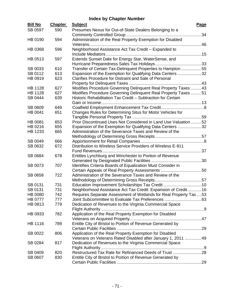| <b>Bill No</b> | <b>Chapter</b> | <b>Subject</b>                                                     | Page |
|----------------|----------------|--------------------------------------------------------------------|------|
| SB 0597        | 590            | Presumes Nexus for Out-of-State Dealers Belonging to a             | 34   |
| HB 0190        | 594            | Administration of the Real Property Exemption for Disabled         |      |
|                |                |                                                                    |      |
| HB 0368        | 596            | Neighborhood Assistance Act Tax Credit - Expanded to               |      |
|                |                |                                                                    |      |
| HB 0513        | 597            | Extends Sunset Date for Energy Star, WaterSense, and               |      |
|                |                |                                                                    |      |
| SB 0033        | 610            | Transfer of Certain Tax-Delinquent Properties to Hampton 55        |      |
| SB 0112        | 613            | Expansion of the Exemption for Qualifying Data Centers 32          |      |
| HB 0919        | 623            | Clarifies Procedure for Distraint and Sale of Personal             |      |
|                |                |                                                                    |      |
| <b>HB 1128</b> | 627            | Modifies Procedure Governing Delinquent Real Property Taxes 43     |      |
| <b>HB 1128</b> | 627            | Modifies Procedure Governing Delinquent Real Property Taxes 51     |      |
| SB 0444        | 639            | Historic Rehabilitation Tax Credit - Subtraction for Certain       |      |
|                |                |                                                                    |      |
| SB 0609        | 649            |                                                                    |      |
| HB 0041        | 651            | Changes Rules for Determining Situs for Motor Vehicles for         |      |
|                |                |                                                                    |      |
| HB 0081        | 653            | Prior Discontinued Uses Not Considered in Land Use Valuation 52    |      |
| HB 0216        | 655            | Expansion of the Exemption for Qualifying Data Centers 32          |      |
| HB 1233        | 665            | Administration of the Severance Taxes and Review of the            |      |
|                |                |                                                                    |      |
| SB 0049        | 666            |                                                                    |      |
| SB 0632        | 672            | Distribution to Wireless Service Providers of Wireless E-911       |      |
|                |                |                                                                    |      |
| SB 0684        | 678            | Entitles Lynchburg and Winchester to Portion of Revenue            |      |
|                |                |                                                                    |      |
| SB 0073        | 707            | Identifies Criteria Boards of Equalization Must Consider in        |      |
|                |                |                                                                    |      |
| SB 0658        | 722            | Administration of the Severance Taxes and Review of the            |      |
|                |                |                                                                    |      |
| SB 0131        | 731            |                                                                    |      |
| SB 0131        | 731            | Neighborhood Assistance Act Tax Credit: Expansion of Credit16      |      |
| <b>HB 0080</b> | 742            | Requires Separate Assessment of Wetlands for Real Property Tax  53 |      |
| HB 0777        | 777            |                                                                    |      |
| HB 0813        | 779            | Dedication of Revenues to the Virginia Commercial Space            |      |
|                |                |                                                                    |      |
| HB 0933        | 782            | Application of the Real Property Exemption for Disabled            |      |
|                |                |                                                                    |      |
| HB 1116        | 789            | Entitle City of Bristol to Portion of Revenue Generated by         |      |
|                |                | Certain Public Facilities.                                         |      |
| SB 0022        | 806            | Application of the Real Property Exemption for Disabled            |      |
|                |                | Veterans on Veterans Rated Disabled after January 1, 2011 49       |      |
| SB 0284        | 817            | Dedication of Revenues to the Virginia Commercial Space            |      |
|                |                |                                                                    |      |
| SB 0409        | 820            | Restructured Tax Rate for Refinanced Deeds of Trust 28             |      |
| SB 0607        | 830            | Entitle City of Bristol to Portion of Revenue Generated by         |      |
|                |                |                                                                    |      |